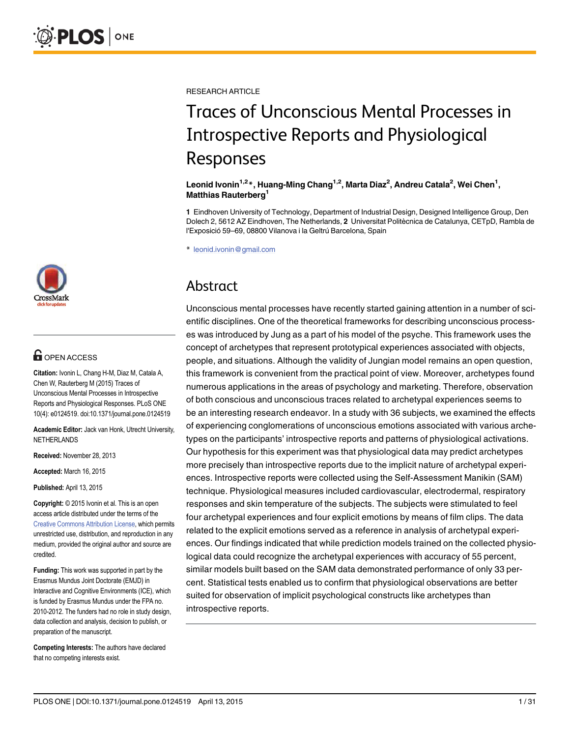

## **G** OPEN ACCESS

Citation: Ivonin L, Chang H-M, Diaz M, Catala A, Chen W, Rauterberg M (2015) Traces of Unconscious Mental Processes in Introspective Reports and Physiological Responses. PLoS ONE 10(4): e0124519. doi:10.1371/journal.pone.0124519

Academic Editor: Jack van Honk, Utrecht University, NETHERLANDS

Received: November 28, 2013

Accepted: March 16, 2015

Published: April 13, 2015

Copyright: © 2015 Ivonin et al. This is an open access article distributed under the terms of the [Creative Commons Attribution License,](http://creativecommons.org/licenses/by/4.0/) which permits unrestricted use, distribution, and reproduction in any medium, provided the original author and source are credited.

Funding: This work was supported in part by the Erasmus Mundus Joint Doctorate (EMJD) in Interactive and Cognitive Environments (ICE), which is funded by Erasmus Mundus under the FPA no. 2010-2012. The funders had no role in study design, data collection and analysis, decision to publish, or preparation of the manuscript.

Competing Interests: The authors have declared that no competing interests exist.

RESEARCH ARTICLE

# Traces of Unconscious Mental Processes in Introspective Reports and Physiological Responses

### Leonid Ivonin<sup>1,2</sup>\*, Huang-Ming Chang<sup>1,2</sup>, Marta Diaz<sup>2</sup>, Andreu Catala<sup>2</sup>, Wei Chen<sup>1</sup>, Matthias Rauterberg<sup>1</sup>

1 Eindhoven University of Technology, Department of Industrial Design, Designed Intelligence Group, Den Dolech 2, 5612 AZ Eindhoven, The Netherlands, 2 Universitat Politècnica de Catalunya, CETpD, Rambla de l'Exposició 59–69, 08800 Vilanova i la Geltrú Barcelona, Spain

\* leonid.ivonin@gmail.com

## Abstract

Unconscious mental processes have recently started gaining attention in a number of scientific disciplines. One of the theoretical frameworks for describing unconscious processes was introduced by Jung as a part of his model of the psyche. This framework uses the concept of archetypes that represent prototypical experiences associated with objects, people, and situations. Although the validity of Jungian model remains an open question, this framework is convenient from the practical point of view. Moreover, archetypes found numerous applications in the areas of psychology and marketing. Therefore, observation of both conscious and unconscious traces related to archetypal experiences seems to be an interesting research endeavor. In a study with 36 subjects, we examined the effects of experiencing conglomerations of unconscious emotions associated with various archetypes on the participants' introspective reports and patterns of physiological activations. Our hypothesis for this experiment was that physiological data may predict archetypes more precisely than introspective reports due to the implicit nature of archetypal experiences. Introspective reports were collected using the Self-Assessment Manikin (SAM) technique. Physiological measures included cardiovascular, electrodermal, respiratory responses and skin temperature of the subjects. The subjects were stimulated to feel four archetypal experiences and four explicit emotions by means of film clips. The data related to the explicit emotions served as a reference in analysis of archetypal experiences. Our findings indicated that while prediction models trained on the collected physiological data could recognize the archetypal experiences with accuracy of 55 percent, similar models built based on the SAM data demonstrated performance of only 33 percent. Statistical tests enabled us to confirm that physiological observations are better suited for observation of implicit psychological constructs like archetypes than introspective reports.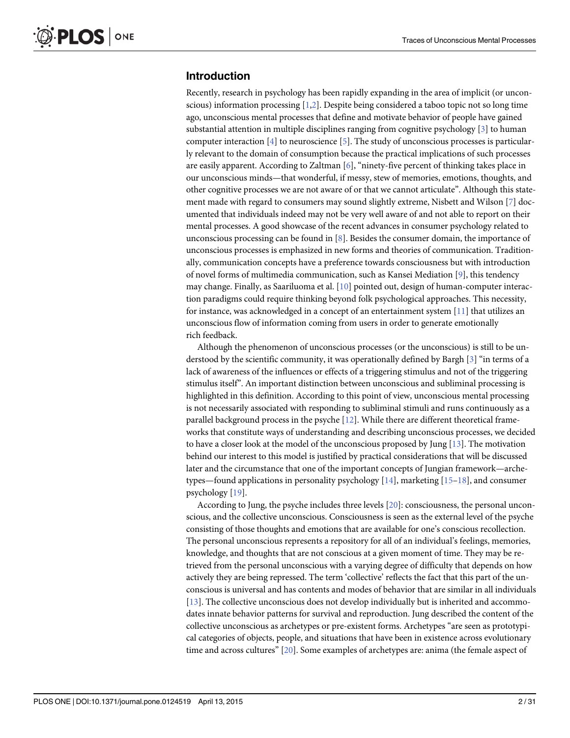## <span id="page-1-0"></span>Introduction

Recently, research in psychology has been rapidly expanding in the area of implicit (or unconscious) information processing  $[1,2]$ . Despite being considered a taboo topic not so long time ago, unconscious mental processes that define and motivate behavior of people have gained substantial attention in multiple disciplines ranging from cognitive psychology [[3](#page-27-0)] to human computer interaction  $[4]$  $[4]$  to neuroscience  $[5]$ . The study of unconscious processes is particularly relevant to the domain of consumption because the practical implications of such processes are easily apparent. According to Zaltman  $[6]$  $[6]$ , "ninety-five percent of thinking takes place in our unconscious minds—that wonderful, if messy, stew of memories, emotions, thoughts, and other cognitive processes we are not aware of or that we cannot articulate". Although this statement made with regard to consumers may sound slightly extreme, Nisbett and Wilson [[7](#page-27-0)] documented that individuals indeed may not be very well aware of and not able to report on their mental processes. A good showcase of the recent advances in consumer psychology related to unconscious processing can be found in [\[8](#page-27-0)]. Besides the consumer domain, the importance of unconscious processes is emphasized in new forms and theories of communication. Traditionally, communication concepts have a preference towards consciousness but with introduction of novel forms of multimedia communication, such as Kansei Mediation [\[9](#page-27-0)], this tendency may change. Finally, as Saariluoma et al. [[10](#page-27-0)] pointed out, design of human-computer interaction paradigms could require thinking beyond folk psychological approaches. This necessity, for instance, was acknowledged in a concept of an entertainment system  $[11]$  $[11]$  $[11]$  that utilizes an unconscious flow of information coming from users in order to generate emotionally rich feedback.

Although the phenomenon of unconscious processes (or the unconscious) is still to be understood by the scientific community, it was operationally defined by Bargh  $\lceil 3 \rceil$  "in terms of a lack of awareness of the influences or effects of a triggering stimulus and not of the triggering stimulus itself". An important distinction between unconscious and subliminal processing is highlighted in this definition. According to this point of view, unconscious mental processing is not necessarily associated with responding to subliminal stimuli and runs continuously as a parallel background process in the psyche  $[12]$  $[12]$  $[12]$ . While there are different theoretical frameworks that constitute ways of understanding and describing unconscious processes, we decided to have a closer look at the model of the unconscious proposed by Jung  $[13]$  $[13]$  $[13]$ . The motivation behind our interest to this model is justified by practical considerations that will be discussed later and the circumstance that one of the important concepts of Jungian framework—archetypes—found applications in personality psychology  $[14]$ , marketing  $[15-18]$  $[15-18]$  $[15-18]$  $[15-18]$  $[15-18]$ , and consumer psychology [\[19\]](#page-27-0).

According to Jung, the psyche includes three levels [[20\]](#page-27-0): consciousness, the personal unconscious, and the collective unconscious. Consciousness is seen as the external level of the psyche consisting of those thoughts and emotions that are available for one's conscious recollection. The personal unconscious represents a repository for all of an individual's feelings, memories, knowledge, and thoughts that are not conscious at a given moment of time. They may be retrieved from the personal unconscious with a varying degree of difficulty that depends on how actively they are being repressed. The term 'collective' reflects the fact that this part of the unconscious is universal and has contents and modes of behavior that are similar in all individuals [\[13](#page-27-0)]. The collective unconscious does not develop individually but is inherited and accommodates innate behavior patterns for survival and reproduction. Jung described the content of the collective unconscious as archetypes or pre-existent forms. Archetypes "are seen as prototypical categories of objects, people, and situations that have been in existence across evolutionary time and across cultures" [\[20\]](#page-27-0). Some examples of archetypes are: anima (the female aspect of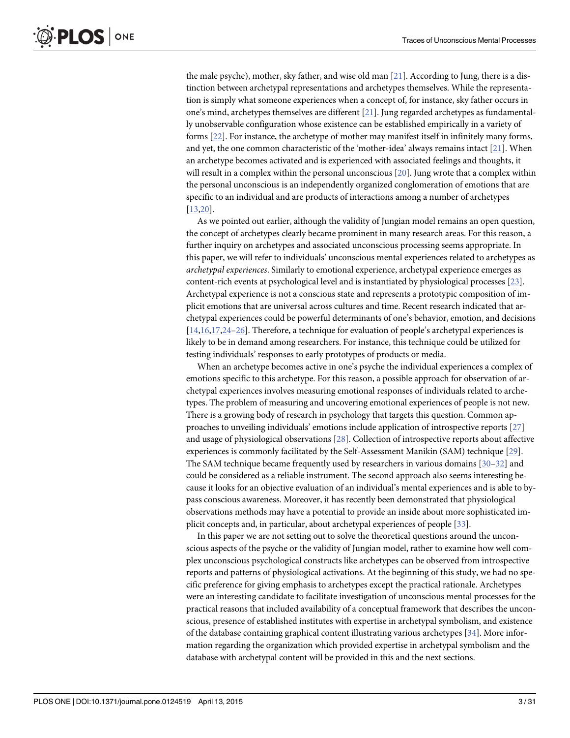<span id="page-2-0"></span>the male psyche), mother, sky father, and wise old man [\[21\]](#page-27-0). According to Jung, there is a distinction between archetypal representations and archetypes themselves. While the representation is simply what someone experiences when a concept of, for instance, sky father occurs in one's mind, archetypes themselves are different [\[21\]](#page-27-0). Jung regarded archetypes as fundamentally unobservable configuration whose existence can be established empirically in a variety of forms [\[22\]](#page-28-0). For instance, the archetype of mother may manifest itself in infinitely many forms, and yet, the one common characteristic of the 'mother-idea' always remains intact [[21](#page-27-0)]. When an archetype becomes activated and is experienced with associated feelings and thoughts, it will result in a complex within the personal unconscious  $[20]$ . Jung wrote that a complex within the personal unconscious is an independently organized conglomeration of emotions that are specific to an individual and are products of interactions among a number of archetypes [\[13,20\]](#page-27-0).

As we pointed out earlier, although the validity of Jungian model remains an open question, the concept of archetypes clearly became prominent in many research areas. For this reason, a further inquiry on archetypes and associated unconscious processing seems appropriate. In this paper, we will refer to individuals' unconscious mental experiences related to archetypes as archetypal experiences. Similarly to emotional experience, archetypal experience emerges as content-rich events at psychological level and is instantiated by physiological processes [\[23](#page-28-0)]. Archetypal experience is not a conscious state and represents a prototypic composition of implicit emotions that are universal across cultures and time. Recent research indicated that archetypal experiences could be powerful determinants of one's behavior, emotion, and decisions [\[14,16,17,](#page-27-0)[24](#page-28-0)–[26](#page-28-0)]. Therefore, a technique for evaluation of people's archetypal experiences is likely to be in demand among researchers. For instance, this technique could be utilized for testing individuals' responses to early prototypes of products or media.

When an archetype becomes active in one's psyche the individual experiences a complex of emotions specific to this archetype. For this reason, a possible approach for observation of archetypal experiences involves measuring emotional responses of individuals related to archetypes. The problem of measuring and uncovering emotional experiences of people is not new. There is a growing body of research in psychology that targets this question. Common approaches to unveiling individuals' emotions include application of introspective reports [[27](#page-28-0)] and usage of physiological observations [[28](#page-28-0)]. Collection of introspective reports about affective experiences is commonly facilitated by the Self-Assessment Manikin (SAM) technique [[29](#page-28-0)]. The SAM technique became frequently used by researchers in various domains  $[30-32]$  $[30-32]$  $[30-32]$  $[30-32]$  and could be considered as a reliable instrument. The second approach also seems interesting because it looks for an objective evaluation of an individual's mental experiences and is able to bypass conscious awareness. Moreover, it has recently been demonstrated that physiological observations methods may have a potential to provide an inside about more sophisticated implicit concepts and, in particular, about archetypal experiences of people [[33](#page-28-0)].

In this paper we are not setting out to solve the theoretical questions around the unconscious aspects of the psyche or the validity of Jungian model, rather to examine how well complex unconscious psychological constructs like archetypes can be observed from introspective reports and patterns of physiological activations. At the beginning of this study, we had no specific preference for giving emphasis to archetypes except the practical rationale. Archetypes were an interesting candidate to facilitate investigation of unconscious mental processes for the practical reasons that included availability of a conceptual framework that describes the unconscious, presence of established institutes with expertise in archetypal symbolism, and existence of the database containing graphical content illustrating various archetypes [\[34\]](#page-28-0). More information regarding the organization which provided expertise in archetypal symbolism and the database with archetypal content will be provided in this and the next sections.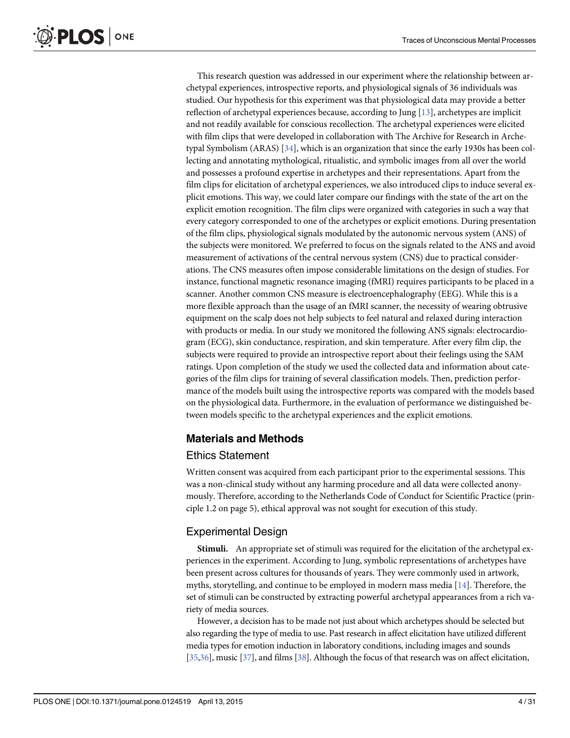<span id="page-3-0"></span>This research question was addressed in our experiment where the relationship between archetypal experiences, introspective reports, and physiological signals of 36 individuals was studied. Our hypothesis for this experiment was that physiological data may provide a better reflection of archetypal experiences because, according to Jung [[13](#page-27-0)], archetypes are implicit and not readily available for conscious recollection. The archetypal experiences were elicited with film clips that were developed in collaboration with The Archive for Research in Archetypal Symbolism (ARAS)  $[34]$  $[34]$  $[34]$ , which is an organization that since the early 1930s has been collecting and annotating mythological, ritualistic, and symbolic images from all over the world and possesses a profound expertise in archetypes and their representations. Apart from the film clips for elicitation of archetypal experiences, we also introduced clips to induce several explicit emotions. This way, we could later compare our findings with the state of the art on the explicit emotion recognition. The film clips were organized with categories in such a way that every category corresponded to one of the archetypes or explicit emotions. During presentation of the film clips, physiological signals modulated by the autonomic nervous system (ANS) of the subjects were monitored. We preferred to focus on the signals related to the ANS and avoid measurement of activations of the central nervous system (CNS) due to practical considerations. The CNS measures often impose considerable limitations on the design of studies. For instance, functional magnetic resonance imaging (fMRI) requires participants to be placed in a scanner. Another common CNS measure is electroencephalography (EEG). While this is a more flexible approach than the usage of an fMRI scanner, the necessity of wearing obtrusive equipment on the scalp does not help subjects to feel natural and relaxed during interaction with products or media. In our study we monitored the following ANS signals: electrocardiogram (ECG), skin conductance, respiration, and skin temperature. After every film clip, the subjects were required to provide an introspective report about their feelings using the SAM ratings. Upon completion of the study we used the collected data and information about categories of the film clips for training of several classification models. Then, prediction performance of the models built using the introspective reports was compared with the models based on the physiological data. Furthermore, in the evaluation of performance we distinguished between models specific to the archetypal experiences and the explicit emotions.

## Materials and Methods

## Ethics Statement

Written consent was acquired from each participant prior to the experimental sessions. This was a non-clinical study without any harming procedure and all data were collected anonymously. Therefore, according to the Netherlands Code of Conduct for Scientific Practice (principle 1.2 on page 5), ethical approval was not sought for execution of this study.

## Experimental Design

Stimuli. An appropriate set of stimuli was required for the elicitation of the archetypal experiences in the experiment. According to Jung, symbolic representations of archetypes have been present across cultures for thousands of years. They were commonly used in artwork, myths, storytelling, and continue to be employed in modern mass media  $[14]$  $[14]$  $[14]$ . Therefore, the set of stimuli can be constructed by extracting powerful archetypal appearances from a rich variety of media sources.

However, a decision has to be made not just about which archetypes should be selected but also regarding the type of media to use. Past research in affect elicitation have utilized different media types for emotion induction in laboratory conditions, including images and sounds [\[35,36](#page-28-0)], music [[37](#page-28-0)], and films [[38](#page-28-0)]. Although the focus of that research was on affect elicitation,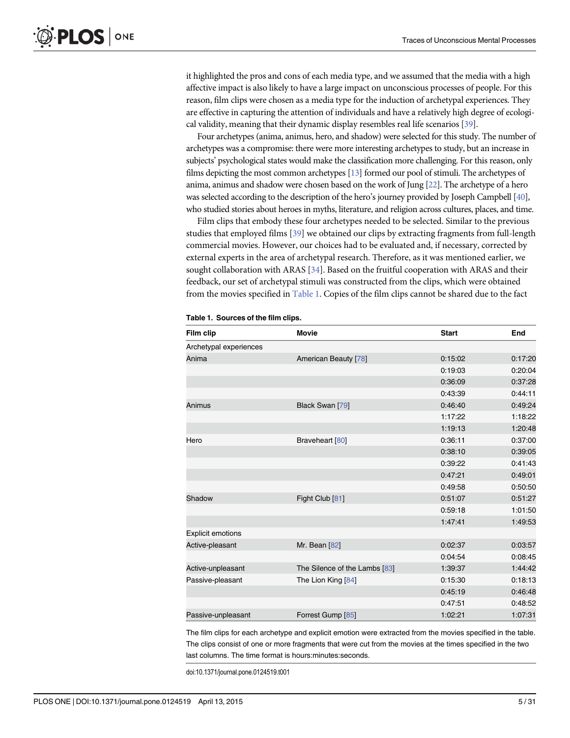<span id="page-4-0"></span>it highlighted the pros and cons of each media type, and we assumed that the media with a high affective impact is also likely to have a large impact on unconscious processes of people. For this reason, film clips were chosen as a media type for the induction of archetypal experiences. They are effective in capturing the attention of individuals and have a relatively high degree of ecological validity, meaning that their dynamic display resembles real life scenarios [[39](#page-28-0)].

Four archetypes (anima, animus, hero, and shadow) were selected for this study. The number of archetypes was a compromise: there were more interesting archetypes to study, but an increase in subjects' psychological states would make the classification more challenging. For this reason, only films depicting the most common archetypes [[13\]](#page-27-0) formed our pool of stimuli. The archetypes of anima, animus and shadow were chosen based on the work of Jung [\[22\]](#page-28-0). The archetype of a hero was selected according to the description of the hero's journey provided by Joseph Campbell [\[40](#page-28-0)], who studied stories about heroes in myths, literature, and religion across cultures, places, and time.

Film clips that embody these four archetypes needed to be selected. Similar to the previous studies that employed films [\[39\]](#page-28-0) we obtained our clips by extracting fragments from full-length commercial movies. However, our choices had to be evaluated and, if necessary, corrected by external experts in the area of archetypal research. Therefore, as it was mentioned earlier, we sought collaboration with ARAS [\[34\]](#page-28-0). Based on the fruitful cooperation with ARAS and their feedback, our set of archetypal stimuli was constructed from the clips, which were obtained from the movies specified in Table 1. Copies of the film clips cannot be shared due to the fact

| Film clip                | <b>Movie</b>                  | <b>Start</b> | End     |
|--------------------------|-------------------------------|--------------|---------|
| Archetypal experiences   |                               |              |         |
| Anima                    | American Beauty [78]          | 0:15:02      | 0:17:20 |
|                          |                               | 0:19:03      | 0:20:04 |
|                          |                               | 0:36:09      | 0:37:28 |
|                          |                               | 0:43:39      | 0:44:11 |
| Animus                   | Black Swan [79]               | 0:46:40      | 0:49:24 |
|                          |                               | 1:17:22      | 1:18:22 |
|                          |                               | 1:19:13      | 1:20:48 |
| Hero                     | Braveheart [80]               | 0:36:11      | 0:37:00 |
|                          |                               | 0:38:10      | 0:39:05 |
|                          |                               | 0:39:22      | 0:41:43 |
|                          |                               | 0:47:21      | 0:49:01 |
|                          |                               | 0:49:58      | 0:50:50 |
| Shadow                   | Fight Club [81]               | 0:51:07      | 0:51:27 |
|                          |                               | 0:59:18      | 1:01:50 |
|                          |                               | 1:47:41      | 1:49:53 |
| <b>Explicit emotions</b> |                               |              |         |
| Active-pleasant          | Mr. Bean [82]                 | 0:02:37      | 0:03:57 |
|                          |                               | 0:04:54      | 0:08:45 |
| Active-unpleasant        | The Silence of the Lambs [83] | 1:39:37      | 1:44:42 |
| Passive-pleasant         | The Lion King [84]            | 0:15:30      | 0:18:13 |
|                          |                               | 0:45:19      | 0:46:48 |
|                          |                               | 0:47:51      | 0:48:52 |
| Passive-unpleasant       | Forrest Gump [85]             | 1:02:21      | 1:07:31 |

Table 1. Sources of the film clips.

The film clips for each archetype and explicit emotion were extracted from the movies specified in the table. The clips consist of one or more fragments that were cut from the movies at the times specified in the two last columns. The time format is hours:minutes:seconds.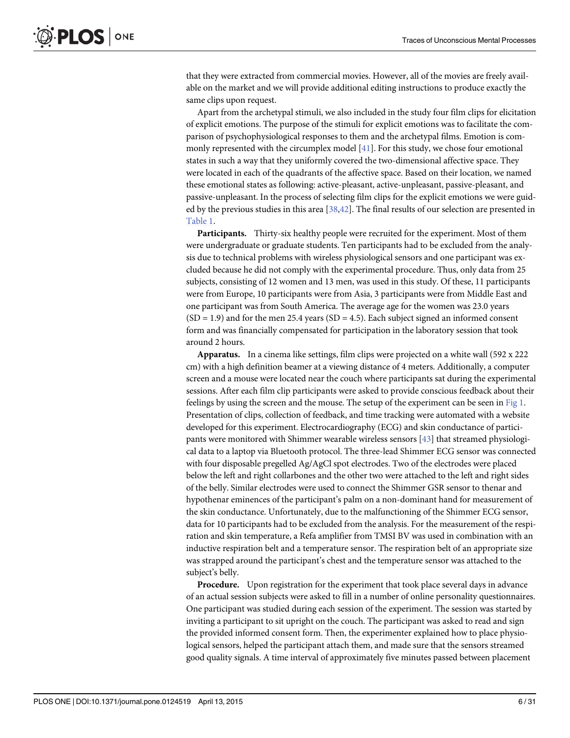<span id="page-5-0"></span>that they were extracted from commercial movies. However, all of the movies are freely available on the market and we will provide additional editing instructions to produce exactly the same clips upon request.

Apart from the archetypal stimuli, we also included in the study four film clips for elicitation of explicit emotions. The purpose of the stimuli for explicit emotions was to facilitate the comparison of psychophysiological responses to them and the archetypal films. Emotion is commonly represented with the circumplex model  $[41]$  $[41]$  $[41]$ . For this study, we chose four emotional states in such a way that they uniformly covered the two-dimensional affective space. They were located in each of the quadrants of the affective space. Based on their location, we named these emotional states as following: active-pleasant, active-unpleasant, passive-pleasant, and passive-unpleasant. In the process of selecting film clips for the explicit emotions we were guided by the previous studies in this area  $[38,42]$ . The final results of our selection are presented in [Table 1](#page-4-0).

Participants. Thirty-six healthy people were recruited for the experiment. Most of them were undergraduate or graduate students. Ten participants had to be excluded from the analysis due to technical problems with wireless physiological sensors and one participant was excluded because he did not comply with the experimental procedure. Thus, only data from 25 subjects, consisting of 12 women and 13 men, was used in this study. Of these, 11 participants were from Europe, 10 participants were from Asia, 3 participants were from Middle East and one participant was from South America. The average age for the women was 23.0 years  $(SD = 1.9)$  and for the men 25.4 years  $(SD = 4.5)$ . Each subject signed an informed consent form and was financially compensated for participation in the laboratory session that took around 2 hours.

**Apparatus.** In a cinema like settings, film clips were projected on a white wall  $(592 \times 222)$ cm) with a high definition beamer at a viewing distance of 4 meters. Additionally, a computer screen and a mouse were located near the couch where participants sat during the experimental sessions. After each film clip participants were asked to provide conscious feedback about their feelings by using the screen and the mouse. The setup of the experiment can be seen in [Fig 1.](#page-6-0) Presentation of clips, collection of feedback, and time tracking were automated with a website developed for this experiment. Electrocardiography (ECG) and skin conductance of participants were monitored with Shimmer wearable wireless sensors [[43](#page-28-0)] that streamed physiological data to a laptop via Bluetooth protocol. The three-lead Shimmer ECG sensor was connected with four disposable pregelled Ag/AgCl spot electrodes. Two of the electrodes were placed below the left and right collarbones and the other two were attached to the left and right sides of the belly. Similar electrodes were used to connect the Shimmer GSR sensor to thenar and hypothenar eminences of the participant's palm on a non-dominant hand for measurement of the skin conductance. Unfortunately, due to the malfunctioning of the Shimmer ECG sensor, data for 10 participants had to be excluded from the analysis. For the measurement of the respiration and skin temperature, a Refa amplifier from TMSI BV was used in combination with an inductive respiration belt and a temperature sensor. The respiration belt of an appropriate size was strapped around the participant's chest and the temperature sensor was attached to the subject's belly.

Procedure. Upon registration for the experiment that took place several days in advance of an actual session subjects were asked to fill in a number of online personality questionnaires. One participant was studied during each session of the experiment. The session was started by inviting a participant to sit upright on the couch. The participant was asked to read and sign the provided informed consent form. Then, the experimenter explained how to place physiological sensors, helped the participant attach them, and made sure that the sensors streamed good quality signals. A time interval of approximately five minutes passed between placement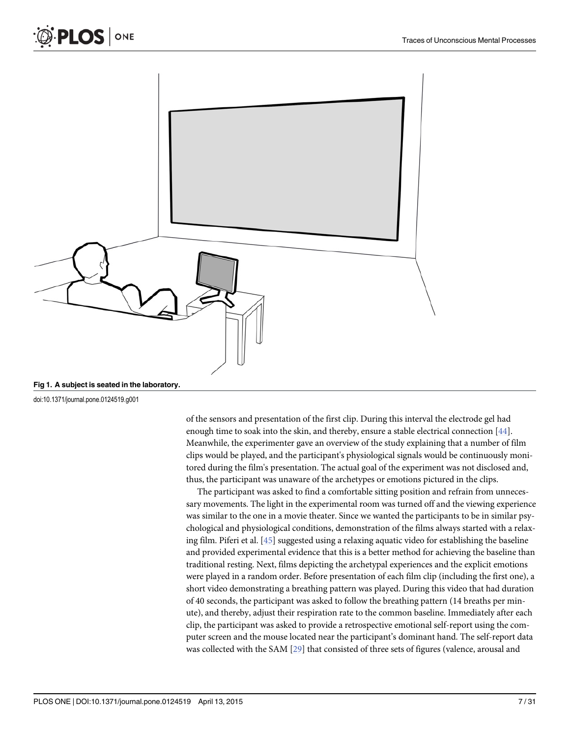<span id="page-6-0"></span>



[Fig 1. A](#page-5-0) subject is seated in the laboratory.

doi:10.1371/journal.pone.0124519.g001

of the sensors and presentation of the first clip. During this interval the electrode gel had enough time to soak into the skin, and thereby, ensure a stable electrical connection [\[44](#page-28-0)]. Meanwhile, the experimenter gave an overview of the study explaining that a number of film clips would be played, and the participant's physiological signals would be continuously monitored during the film's presentation. The actual goal of the experiment was not disclosed and, thus, the participant was unaware of the archetypes or emotions pictured in the clips.

The participant was asked to find a comfortable sitting position and refrain from unnecessary movements. The light in the experimental room was turned off and the viewing experience was similar to the one in a movie theater. Since we wanted the participants to be in similar psychological and physiological conditions, demonstration of the films always started with a relaxing film. Piferi et al. [\[45\]](#page-28-0) suggested using a relaxing aquatic video for establishing the baseline and provided experimental evidence that this is a better method for achieving the baseline than traditional resting. Next, films depicting the archetypal experiences and the explicit emotions were played in a random order. Before presentation of each film clip (including the first one), a short video demonstrating a breathing pattern was played. During this video that had duration of 40 seconds, the participant was asked to follow the breathing pattern (14 breaths per minute), and thereby, adjust their respiration rate to the common baseline. Immediately after each clip, the participant was asked to provide a retrospective emotional self-report using the computer screen and the mouse located near the participant's dominant hand. The self-report data was collected with the SAM [[29](#page-28-0)] that consisted of three sets of figures (valence, arousal and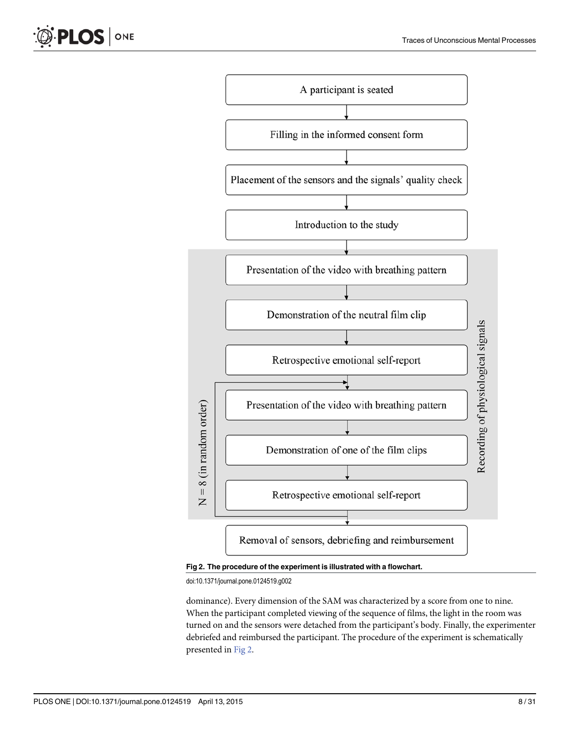Recording of physiological signals



Removal of sensors, debriefing and reimbursement

Retrospective emotional self-report

Fig 2. The procedure of the experiment is illustrated with a flowchart.

doi:10.1371/journal.pone.0124519.g002

 $\overline{z}$ 

dominance). Every dimension of the SAM was characterized by a score from one to nine. When the participant completed viewing of the sequence of films, the light in the room was turned on and the sensors were detached from the participant's body. Finally, the experimenter debriefed and reimbursed the participant. The procedure of the experiment is schematically presented in Fig 2.

PLOS ONE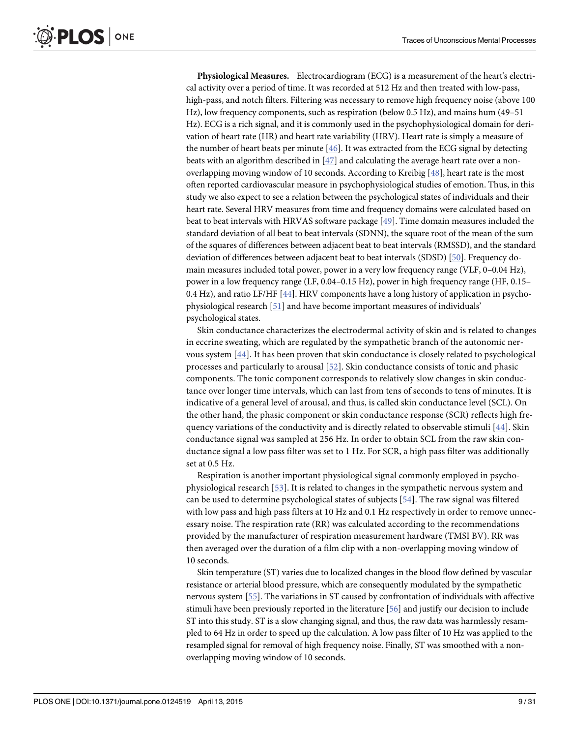<span id="page-8-0"></span>Physiological Measures. Electrocardiogram (ECG) is a measurement of the heart's electrical activity over a period of time. It was recorded at 512 Hz and then treated with low-pass, high-pass, and notch filters. Filtering was necessary to remove high frequency noise (above 100 Hz), low frequency components, such as respiration (below 0.5 Hz), and mains hum (49–51 Hz). ECG is a rich signal, and it is commonly used in the psychophysiological domain for derivation of heart rate (HR) and heart rate variability (HRV). Heart rate is simply a measure of the number of heart beats per minute  $[46]$ . It was extracted from the ECG signal by detecting beats with an algorithm described in  $[47]$  $[47]$  and calculating the average heart rate over a nonoverlapping moving window of 10 seconds. According to Kreibig [[48](#page-29-0)], heart rate is the most often reported cardiovascular measure in psychophysiological studies of emotion. Thus, in this study we also expect to see a relation between the psychological states of individuals and their heart rate. Several HRV measures from time and frequency domains were calculated based on beat to beat intervals with HRVAS software package [[49](#page-29-0)]. Time domain measures included the standard deviation of all beat to beat intervals (SDNN), the square root of the mean of the sum of the squares of differences between adjacent beat to beat intervals (RMSSD), and the standard deviation of differences between adjacent beat to beat intervals (SDSD) [\[50](#page-29-0)]. Frequency domain measures included total power, power in a very low frequency range (VLF, 0–0.04 Hz), power in a low frequency range (LF, 0.04–0.15 Hz), power in high frequency range (HF, 0.15– 0.4 Hz), and ratio LF/HF [[44\]](#page-28-0). HRV components have a long history of application in psychophysiological research [\[51\]](#page-29-0) and have become important measures of individuals' psychological states.

Skin conductance characterizes the electrodermal activity of skin and is related to changes in eccrine sweating, which are regulated by the sympathetic branch of the autonomic nervous system  $[44]$  $[44]$ . It has been proven that skin conductance is closely related to psychological processes and particularly to arousal [[52](#page-29-0)]. Skin conductance consists of tonic and phasic components. The tonic component corresponds to relatively slow changes in skin conductance over longer time intervals, which can last from tens of seconds to tens of minutes. It is indicative of a general level of arousal, and thus, is called skin conductance level (SCL). On the other hand, the phasic component or skin conductance response (SCR) reflects high frequency variations of the conductivity and is directly related to observable stimuli [[44\]](#page-28-0). Skin conductance signal was sampled at 256 Hz. In order to obtain SCL from the raw skin conductance signal a low pass filter was set to 1 Hz. For SCR, a high pass filter was additionally set at 0.5 Hz.

Respiration is another important physiological signal commonly employed in psychophysiological research [\[53\]](#page-29-0). It is related to changes in the sympathetic nervous system and can be used to determine psychological states of subjects  $[54]$  $[54]$  $[54]$ . The raw signal was filtered with low pass and high pass filters at 10 Hz and 0.1 Hz respectively in order to remove unnecessary noise. The respiration rate (RR) was calculated according to the recommendations provided by the manufacturer of respiration measurement hardware (TMSI BV). RR was then averaged over the duration of a film clip with a non-overlapping moving window of 10 seconds.

Skin temperature (ST) varies due to localized changes in the blood flow defined by vascular resistance or arterial blood pressure, which are consequently modulated by the sympathetic nervous system [[55](#page-29-0)]. The variations in ST caused by confrontation of individuals with affective stimuli have been previously reported in the literature [\[56\]](#page-29-0) and justify our decision to include ST into this study. ST is a slow changing signal, and thus, the raw data was harmlessly resampled to 64 Hz in order to speed up the calculation. A low pass filter of 10 Hz was applied to the resampled signal for removal of high frequency noise. Finally, ST was smoothed with a nonoverlapping moving window of 10 seconds.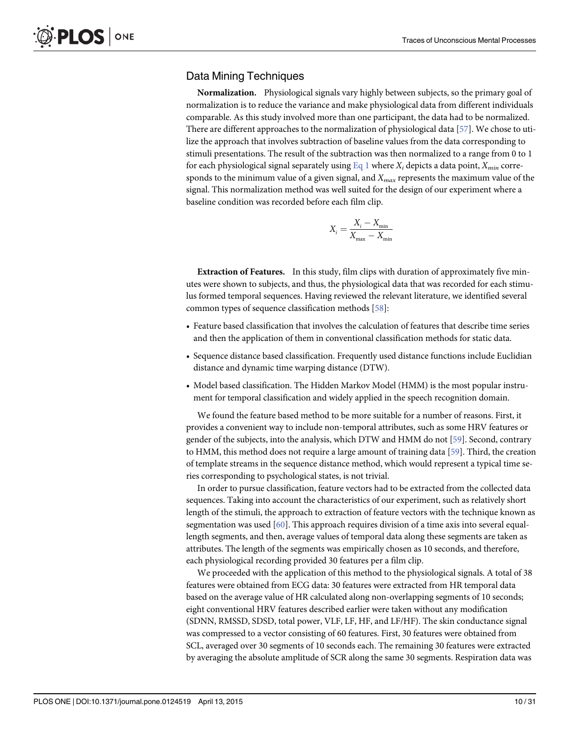## <span id="page-9-0"></span>Data Mining Techniques

Normalization. Physiological signals vary highly between subjects, so the primary goal of normalization is to reduce the variance and make physiological data from different individuals comparable. As this study involved more than one participant, the data had to be normalized. There are different approaches to the normalization of physiological data [[57](#page-29-0)]. We chose to utilize the approach that involves subtraction of baseline values from the data corresponding to stimuli presentations. The result of the subtraction was then normalized to a range from 0 to 1 for each physiological signal separately using Eq 1 where  $X_i$  depicts a data point,  $X_{min}$  corresponds to the minimum value of a given signal, and  $X_{max}$  represents the maximum value of the signal. This normalization method was well suited for the design of our experiment where a baseline condition was recorded before each film clip.

$$
X_i = \frac{X_i - X_{\min}}{X_{\max} - X_{\min}}
$$

Extraction of Features. In this study, film clips with duration of approximately five minutes were shown to subjects, and thus, the physiological data that was recorded for each stimulus formed temporal sequences. Having reviewed the relevant literature, we identified several common types of sequence classification methods [[58](#page-29-0)]:

- Feature based classification that involves the calculation of features that describe time series and then the application of them in conventional classification methods for static data.
- Sequence distance based classification. Frequently used distance functions include Euclidian distance and dynamic time warping distance (DTW).
- Model based classification. The Hidden Markov Model (HMM) is the most popular instrument for temporal classification and widely applied in the speech recognition domain.

We found the feature based method to be more suitable for a number of reasons. First, it provides a convenient way to include non-temporal attributes, such as some HRV features or gender of the subjects, into the analysis, which DTW and HMM do not [[59](#page-29-0)]. Second, contrary to HMM, this method does not require a large amount of training data [\[59\]](#page-29-0). Third, the creation of template streams in the sequence distance method, which would represent a typical time series corresponding to psychological states, is not trivial.

In order to pursue classification, feature vectors had to be extracted from the collected data sequences. Taking into account the characteristics of our experiment, such as relatively short length of the stimuli, the approach to extraction of feature vectors with the technique known as segmentation was used [[60](#page-29-0)]. This approach requires division of a time axis into several equallength segments, and then, average values of temporal data along these segments are taken as attributes. The length of the segments was empirically chosen as 10 seconds, and therefore, each physiological recording provided 30 features per a film clip.

We proceeded with the application of this method to the physiological signals. A total of 38 features were obtained from ECG data: 30 features were extracted from HR temporal data based on the average value of HR calculated along non-overlapping segments of 10 seconds; eight conventional HRV features described earlier were taken without any modification (SDNN, RMSSD, SDSD, total power, VLF, LF, HF, and LF/HF). The skin conductance signal was compressed to a vector consisting of 60 features. First, 30 features were obtained from SCL, averaged over 30 segments of 10 seconds each. The remaining 30 features were extracted by averaging the absolute amplitude of SCR along the same 30 segments. Respiration data was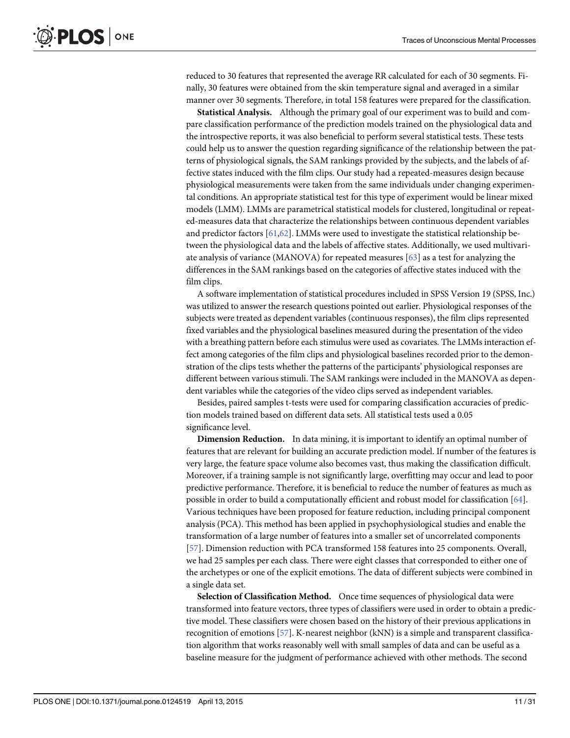<span id="page-10-0"></span>reduced to 30 features that represented the average RR calculated for each of 30 segments. Finally, 30 features were obtained from the skin temperature signal and averaged in a similar manner over 30 segments. Therefore, in total 158 features were prepared for the classification.

Statistical Analysis. Although the primary goal of our experiment was to build and compare classification performance of the prediction models trained on the physiological data and the introspective reports, it was also beneficial to perform several statistical tests. These tests could help us to answer the question regarding significance of the relationship between the patterns of physiological signals, the SAM rankings provided by the subjects, and the labels of affective states induced with the film clips. Our study had a repeated-measures design because physiological measurements were taken from the same individuals under changing experimental conditions. An appropriate statistical test for this type of experiment would be linear mixed models (LMM). LMMs are parametrical statistical models for clustered, longitudinal or repeated-measures data that characterize the relationships between continuous dependent variables and predictor factors [[61,62\]](#page-29-0). LMMs were used to investigate the statistical relationship between the physiological data and the labels of affective states. Additionally, we used multivariate analysis of variance (MANOVA) for repeated measures [[63\]](#page-29-0) as a test for analyzing the differences in the SAM rankings based on the categories of affective states induced with the film clips.

A software implementation of statistical procedures included in SPSS Version 19 (SPSS, Inc.) was utilized to answer the research questions pointed out earlier. Physiological responses of the subjects were treated as dependent variables (continuous responses), the film clips represented fixed variables and the physiological baselines measured during the presentation of the video with a breathing pattern before each stimulus were used as covariates. The LMMs interaction effect among categories of the film clips and physiological baselines recorded prior to the demonstration of the clips tests whether the patterns of the participants' physiological responses are different between various stimuli. The SAM rankings were included in the MANOVA as dependent variables while the categories of the video clips served as independent variables.

Besides, paired samples t-tests were used for comparing classification accuracies of prediction models trained based on different data sets. All statistical tests used a 0.05 significance level.

Dimension Reduction. In data mining, it is important to identify an optimal number of features that are relevant for building an accurate prediction model. If number of the features is very large, the feature space volume also becomes vast, thus making the classification difficult. Moreover, if a training sample is not significantly large, overfitting may occur and lead to poor predictive performance. Therefore, it is beneficial to reduce the number of features as much as possible in order to build a computationally efficient and robust model for classification [[64\]](#page-29-0). Various techniques have been proposed for feature reduction, including principal component analysis (PCA). This method has been applied in psychophysiological studies and enable the transformation of a large number of features into a smaller set of uncorrelated components [\[57](#page-29-0)]. Dimension reduction with PCA transformed 158 features into 25 components. Overall, we had 25 samples per each class. There were eight classes that corresponded to either one of the archetypes or one of the explicit emotions. The data of different subjects were combined in a single data set.

Selection of Classification Method. Once time sequences of physiological data were transformed into feature vectors, three types of classifiers were used in order to obtain a predictive model. These classifiers were chosen based on the history of their previous applications in recognition of emotions [[57](#page-29-0)]. K-nearest neighbor (kNN) is a simple and transparent classification algorithm that works reasonably well with small samples of data and can be useful as a baseline measure for the judgment of performance achieved with other methods. The second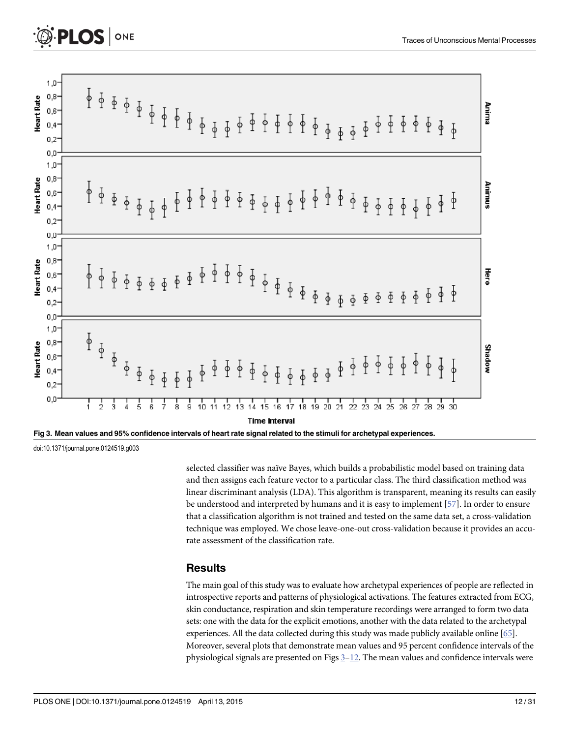<span id="page-11-0"></span>



selected classifier was naïve Bayes, which builds a probabilistic model based on training data and then assigns each feature vector to a particular class. The third classification method was linear discriminant analysis (LDA). This algorithm is transparent, meaning its results can easily be understood and interpreted by humans and it is easy to implement [[57](#page-29-0)]. In order to ensure that a classification algorithm is not trained and tested on the same data set, a cross-validation technique was employed. We chose leave-one-out cross-validation because it provides an accurate assessment of the classification rate.

## **Results**

The main goal of this study was to evaluate how archetypal experiences of people are reflected in introspective reports and patterns of physiological activations. The features extracted from ECG, skin conductance, respiration and skin temperature recordings were arranged to form two data sets: one with the data for the explicit emotions, another with the data related to the archetypal experiences. All the data collected during this study was made publicly available online [[65](#page-29-0)]. Moreover, several plots that demonstrate mean values and 95 percent confidence intervals of the physiological signals are presented on Figs  $3-12$  $3-12$ . The mean values and confidence intervals were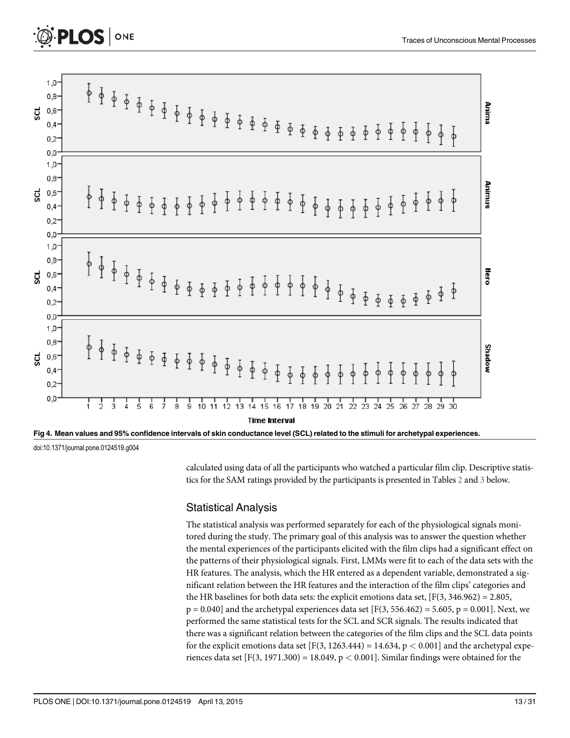<span id="page-12-0"></span>

| 30<br>28<br>29<br>25<br>26<br>27                                               |                 |
|--------------------------------------------------------------------------------|-----------------|
| Shadow<br>$\phi$<br>φ<br>φ<br>φ<br>φ                                           |                 |
| ₩ero<br>$\frac{1}{2}$<br>$\Phi$ $\Phi$ $\Phi$ $\Phi$                           |                 |
| $\phi$ $\phi$ $\phi$<br>$\frac{1}{2}$<br>$\frac{1}{2}$<br>$\frac{1}{\sqrt{2}}$ |                 |
|                                                                                |                 |
|                                                                                | Anima<br>Animus |

Fig 4. Mean values and 95% confidence intervals of skin conductance level (SCL) related to the stimuli for archetypal experiences.

calculated using data of all the participants who watched a particular film clip. Descriptive statistics for the SAM ratings provided by the participants is presented in Tables  $2$  and  $3$  below.

#### Statistical Analysis

The statistical analysis was performed separately for each of the physiological signals monitored during the study. The primary goal of this analysis was to answer the question whether the mental experiences of the participants elicited with the film clips had a significant effect on the patterns of their physiological signals. First, LMMs were fit to each of the data sets with the HR features. The analysis, which the HR entered as a dependent variable, demonstrated a significant relation between the HR features and the interaction of the film clips' categories and the HR baselines for both data sets: the explicit emotions data set,  $[F(3, 346.962) = 2.805,$  $p = 0.040$ ] and the archetypal experiences data set [F(3, 556.462) = 5.605, p = 0.001]. Next, we performed the same statistical tests for the SCL and SCR signals. The results indicated that there was a significant relation between the categories of the film clips and the SCL data points for the explicit emotions data set  $[F(3, 1263.444) = 14.634, p < 0.001]$  and the archetypal experiences data set [F(3, 1971.300) = 18.049,  $p < 0.001$ ]. Similar findings were obtained for the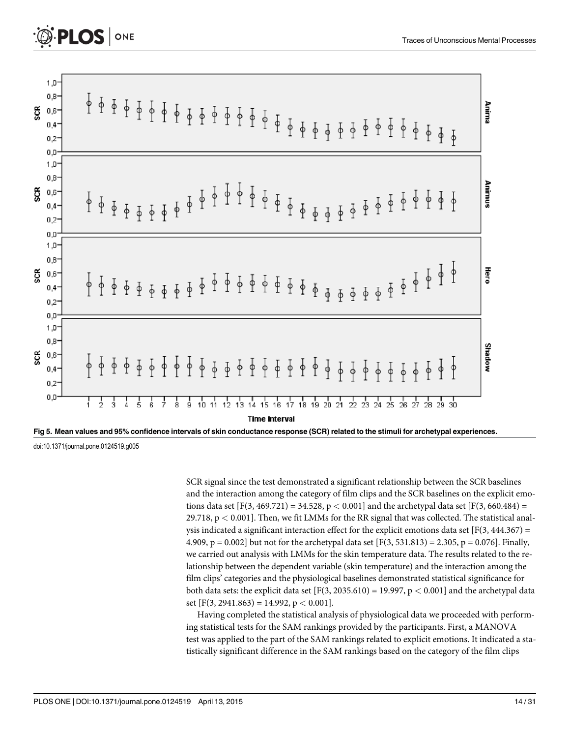

Fig 5. Mean values and 95% confidence intervals of skin conductance response (SCR) related to the stimuli for archetypal experiences. doi:10.1371/journal.pone.0124519.g005

SCR signal since the test demonstrated a significant relationship between the SCR baselines and the interaction among the category of film clips and the SCR baselines on the explicit emotions data set  $[F(3, 469.721) = 34.528, p < 0.001]$  and the archetypal data set  $[F(3, 660.484) =$ 29.718,  $p < 0.001$ ]. Then, we fit LMMs for the RR signal that was collected. The statistical analysis indicated a significant interaction effect for the explicit emotions data set [F(3, 444.367) = 4.909, p = 0.002] but not for the archetypal data set  $[F(3, 531.813) = 2.305$ , p = 0.076]. Finally, we carried out analysis with LMMs for the skin temperature data. The results related to the relationship between the dependent variable (skin temperature) and the interaction among the film clips' categories and the physiological baselines demonstrated statistical significance for both data sets: the explicit data set  $[F(3, 2035.610) = 19.997, p < 0.001]$  and the archetypal data set  $[F(3, 2941.863) = 14.992, p < 0.001]$ .

Having completed the statistical analysis of physiological data we proceeded with performing statistical tests for the SAM rankings provided by the participants. First, a MANOVA test was applied to the part of the SAM rankings related to explicit emotions. It indicated a statistically significant difference in the SAM rankings based on the category of the film clips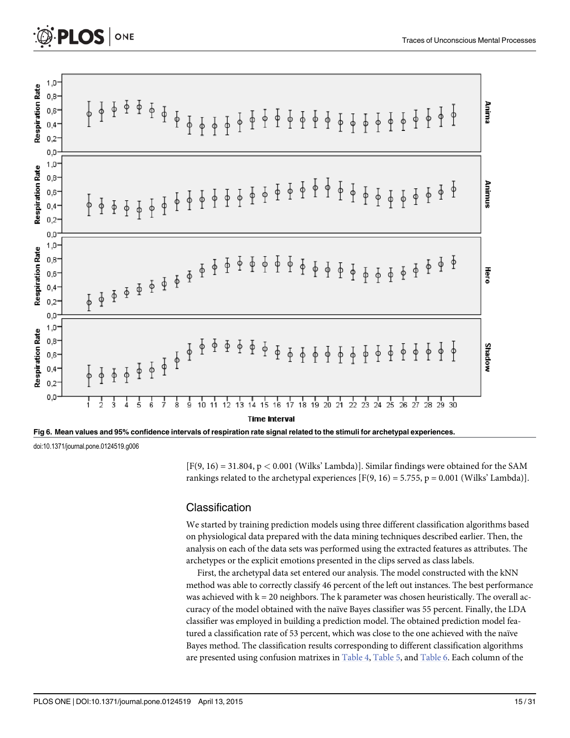<span id="page-14-0"></span>



 $[F(9, 16) = 31.804, p < 0.001$  (Wilks' Lambda)]. Similar findings were obtained for the SAM rankings related to the archetypal experiences  $[F(9, 16) = 5.755, p = 0.001$  (Wilks' Lambda)].

#### Classification

We started by training prediction models using three different classification algorithms based on physiological data prepared with the data mining techniques described earlier. Then, the analysis on each of the data sets was performed using the extracted features as attributes. The archetypes or the explicit emotions presented in the clips served as class labels.

First, the archetypal data set entered our analysis. The model constructed with the kNN method was able to correctly classify 46 percent of the left out instances. The best performance was achieved with  $k = 20$  neighbors. The k parameter was chosen heuristically. The overall accuracy of the model obtained with the naïve Bayes classifier was 55 percent. Finally, the LDA classifier was employed in building a prediction model. The obtained prediction model featured a classification rate of 53 percent, which was close to the one achieved with the naïve Bayes method. The classification results corresponding to different classification algorithms are presented using confusion matrixes in [Table 4,](#page-21-0) [Table 5](#page-22-0), and [Table 6.](#page-22-0) Each column of the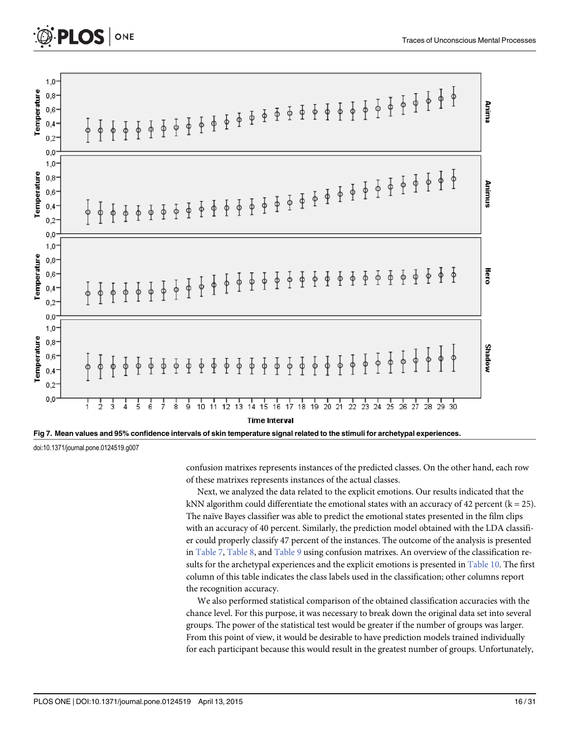<span id="page-15-0"></span>



confusion matrixes represents instances of the predicted classes. On the other hand, each row of these matrixes represents instances of the actual classes.

Next, we analyzed the data related to the explicit emotions. Our results indicated that the kNN algorithm could differentiate the emotional states with an accuracy of 42 percent ( $k = 25$ ). The naïve Bayes classifier was able to predict the emotional states presented in the film clips with an accuracy of 40 percent. Similarly, the prediction model obtained with the LDA classifier could properly classify 47 percent of the instances. The outcome of the analysis is presented in [Table 7](#page-23-0), [Table 8](#page-23-0), and [Table 9](#page-24-0) using confusion matrixes. An overview of the classification results for the archetypal experiences and the explicit emotions is presented in [Table 10](#page-24-0). The first column of this table indicates the class labels used in the classification; other columns report the recognition accuracy.

We also performed statistical comparison of the obtained classification accuracies with the chance level. For this purpose, it was necessary to break down the original data set into several groups. The power of the statistical test would be greater if the number of groups was larger. From this point of view, it would be desirable to have prediction models trained individually for each participant because this would result in the greatest number of groups. Unfortunately,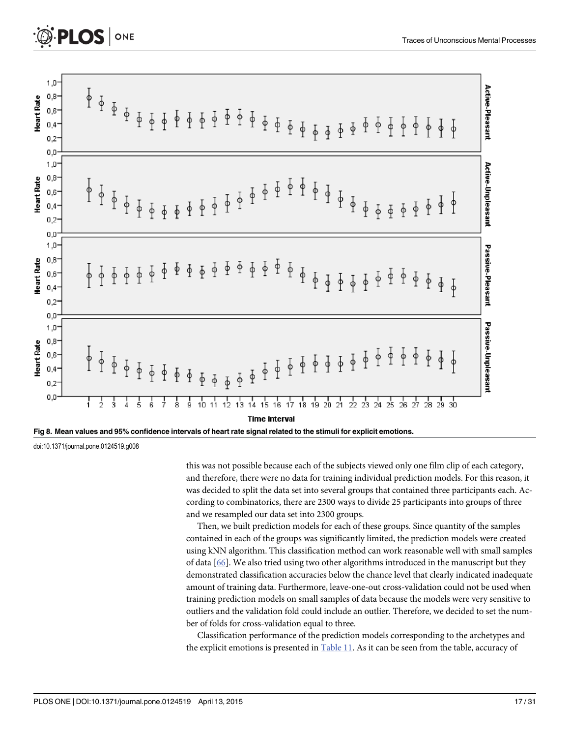<span id="page-16-0"></span>

Fig 8. Mean values and 95% confidence intervals of heart rate signal related to the stimuli for explicit emotions.

this was not possible because each of the subjects viewed only one film clip of each category, and therefore, there were no data for training individual prediction models. For this reason, it was decided to split the data set into several groups that contained three participants each. According to combinatorics, there are 2300 ways to divide 25 participants into groups of three and we resampled our data set into 2300 groups.

Then, we built prediction models for each of these groups. Since quantity of the samples contained in each of the groups was significantly limited, the prediction models were created using kNN algorithm. This classification method can work reasonable well with small samples of data [[66](#page-29-0)]. We also tried using two other algorithms introduced in the manuscript but they demonstrated classification accuracies below the chance level that clearly indicated inadequate amount of training data. Furthermore, leave-one-out cross-validation could not be used when training prediction models on small samples of data because the models were very sensitive to outliers and the validation fold could include an outlier. Therefore, we decided to set the number of folds for cross-validation equal to three.

Classification performance of the prediction models corresponding to the archetypes and the explicit emotions is presented in  $Table 11$ . As it can be seen from the table, accuracy of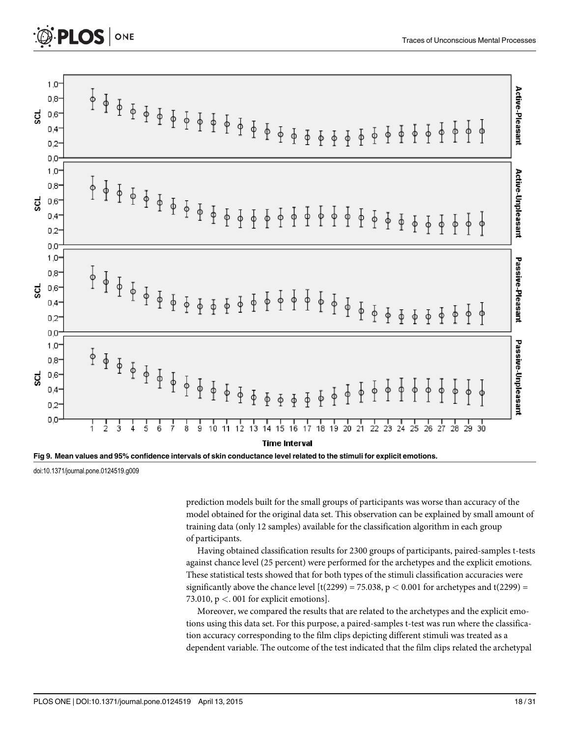



prediction models built for the small groups of participants was worse than accuracy of the model obtained for the original data set. This observation can be explained by small amount of training data (only 12 samples) available for the classification algorithm in each group of participants.

Having obtained classification results for 2300 groups of participants, paired-samples t-tests against chance level (25 percent) were performed for the archetypes and the explicit emotions. These statistical tests showed that for both types of the stimuli classification accuracies were significantly above the chance level  $\left[\frac{t(2299)}{275.038}, p < 0.001\right]$  for archetypes and  $\frac{t(2299)}{275.038}$ 73.010,  $p < 0.01$  for explicit emotions].

Moreover, we compared the results that are related to the archetypes and the explicit emotions using this data set. For this purpose, a paired-samples t-test was run where the classification accuracy corresponding to the film clips depicting different stimuli was treated as a dependent variable. The outcome of the test indicated that the film clips related the archetypal

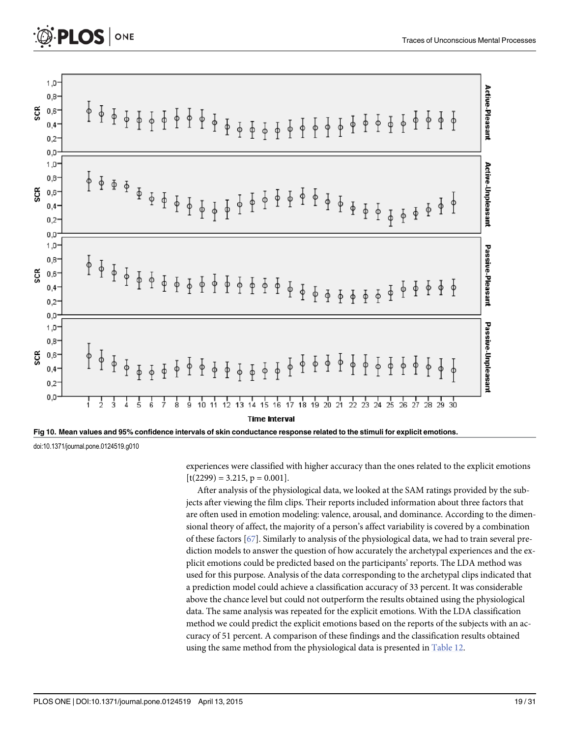<span id="page-18-0"></span>



experiences were classified with higher accuracy than the ones related to the explicit emotions  $[t(2299) = 3.215, p = 0.001].$ 

After analysis of the physiological data, we looked at the SAM ratings provided by the subjects after viewing the film clips. Their reports included information about three factors that are often used in emotion modeling: valence, arousal, and dominance. According to the dimensional theory of affect, the majority of a person's affect variability is covered by a combination of these factors [\[67\]](#page-29-0). Similarly to analysis of the physiological data, we had to train several prediction models to answer the question of how accurately the archetypal experiences and the explicit emotions could be predicted based on the participants' reports. The LDA method was used for this purpose. Analysis of the data corresponding to the archetypal clips indicated that a prediction model could achieve a classification accuracy of 33 percent. It was considerable above the chance level but could not outperform the results obtained using the physiological data. The same analysis was repeated for the explicit emotions. With the LDA classification method we could predict the explicit emotions based on the reports of the subjects with an accuracy of 51 percent. A comparison of these findings and the classification results obtained using the same method from the physiological data is presented in [Table 12.](#page-25-0)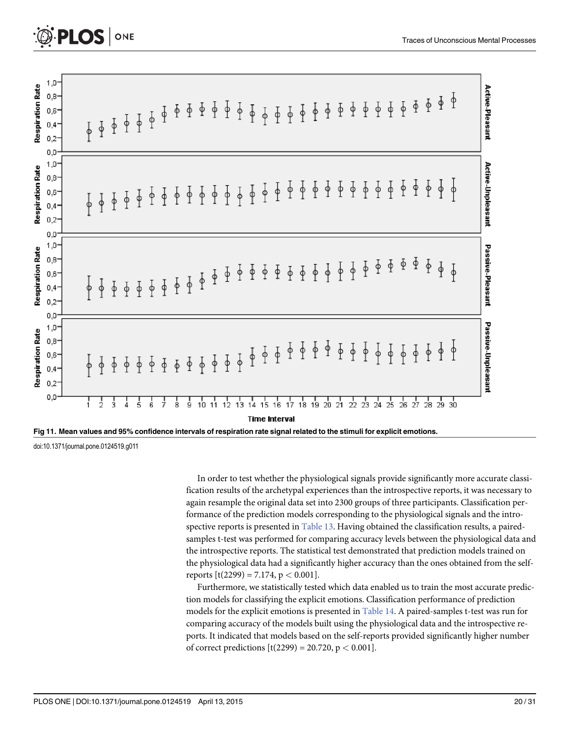



<span id="page-19-0"></span>**PLOS** | ONE

In order to test whether the physiological signals provide significantly more accurate classification results of the archetypal experiences than the introspective reports, it was necessary to again resample the original data set into 2300 groups of three participants. Classification performance of the prediction models corresponding to the physiological signals and the introspective reports is presented in [Table 13.](#page-26-0) Having obtained the classification results, a pairedsamples t-test was performed for comparing accuracy levels between the physiological data and the introspective reports. The statistical test demonstrated that prediction models trained on the physiological data had a significantly higher accuracy than the ones obtained from the selfreports  $[t(2299) = 7.174, p < 0.001]$ .

Furthermore, we statistically tested which data enabled us to train the most accurate prediction models for classifying the explicit emotions. Classification performance of prediction models for the explicit emotions is presented in [Table 14](#page-26-0). A paired-samples t-test was run for comparing accuracy of the models built using the physiological data and the introspective reports. It indicated that models based on the self-reports provided significantly higher number of correct predictions  $[t(2299) = 20.720, p < 0.001]$ .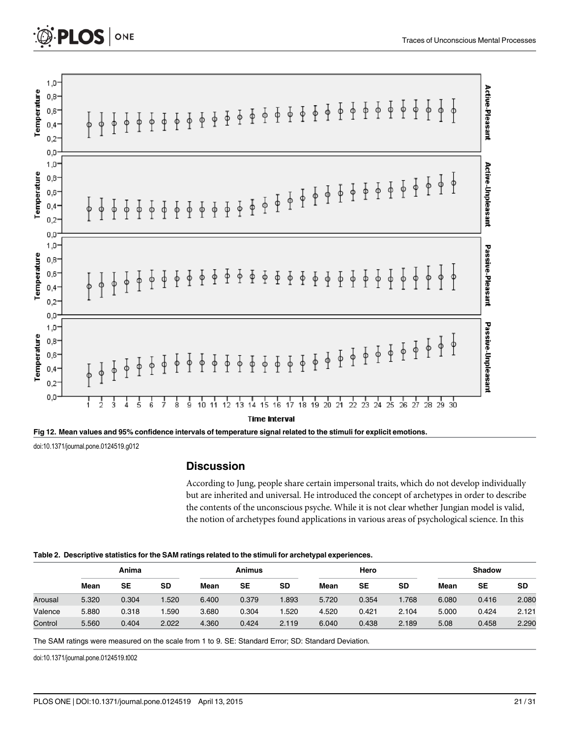<span id="page-20-0"></span>

| Temperature | $1,0^-$<br>0,8-<br>$0,6^-$<br>$0,4-$<br>$0,2-$<br>0,0   |        | ↟              | ↟             |               | $\frac{1}{6}$ | $\frac{1}{6}$ | $\frac{1}{2}$        | $\frac{1}{2}$ | $\Phi$        | $\Phi$        |        |        |               |               |               |                            |               |                                    |               |               | $\frac{1}{2}$                                           | $\frac{1}{4}$ | $\frac{1}{6}$ | ł             | ₫             | ∮             | ₫             | ∲             | $\frac{1}{2}$ | $\frac{1}{\phi}$     | Active-Pleasant    |
|-------------|---------------------------------------------------------|--------|----------------|---------------|---------------|---------------|---------------|----------------------|---------------|---------------|---------------|--------|--------|---------------|---------------|---------------|----------------------------|---------------|------------------------------------|---------------|---------------|---------------------------------------------------------|---------------|---------------|---------------|---------------|---------------|---------------|---------------|---------------|----------------------|--------------------|
| Temperature | $1,0-$<br>$0,8-$<br>$0,6-$<br>$0,4-$<br>$0,2-$          | φ      | φ              | φ             | $\frac{1}{6}$ | $\frac{1}{2}$ | $\frac{1}{6}$ | $\frac{1}{\sqrt{2}}$ | $\frac{1}{2}$ | $\frac{1}{2}$ |               |        |        |               |               |               |                            |               |                                    |               |               | $\frac{1}{2}$ $\frac{1}{2}$ $\frac{1}{2}$ $\frac{1}{2}$ |               |               |               | $\Phi$        | $\frac{1}{6}$ | $\frac{1}{2}$ | $\frac{1}{6}$ | $\frac{1}{6}$ | $\frac{1}{2}$        | Active-Unpleasant  |
| Temperature | 0,0<br>$1,0-$<br>0,8-<br>0,6-<br>$0,4-$<br>$0,2^-$      |        | $\hat{I}$      | ↑             | ↥             | ↟             | ↟             | $\frac{1}{2}$        | $\frac{1}{2}$ | ł             | $\frac{1}{2}$ | $\Phi$ | $\Phi$ |               |               |               |                            |               | $\Phi$ $\Phi$ $\Phi$ $\Phi$ $\Phi$ | $\Phi$        | $\Phi$        | $\Phi$                                                  | $\frac{1}{2}$ | $\frac{1}{2}$ | ł             | ф             | ф             | ф             | φ             |               |                      | Passive-Pleasant   |
| Temperature | 0,0<br>$1,0^-$<br>$0,8-$<br>$0,6-$<br>$0,4-$<br>$0,2^-$ | $\phi$ | $\frac{1}{6}$  | $\frac{1}{2}$ | $\frac{1}{2}$ | $\frac{1}{4}$ | $\frac{1}{2}$ |                      |               |               |               |        |        | $\frac{1}{2}$ | $\frac{1}{4}$ | $\frac{1}{2}$ | $\frac{1}{2}$              | $\frac{1}{4}$ | $\frac{1}{2}$                      | $\frac{1}{6}$ | $\frac{1}{2}$ | $\frac{1}{2}$                                           |               | $\frac{1}{2}$ | $\frac{1}{3}$ | $\frac{1}{4}$ | $\frac{1}{2}$ | $\frac{1}{2}$ | $\frac{1}{6}$ | $\frac{1}{2}$ | $\frac{1}{\sqrt{2}}$ | Passive-Unpleasant |
|             | 0,0                                                     |        | $\overline{c}$ | 3             | 4             | ś             | 6             | 7                    | 8             | 9             | 10            | 11     | 2      | 13            | 14            | 15            | 16<br><b>Time Interval</b> | 17            | 18                                 | 19            | 20            | 21                                                      | 22            | 23            | 24            | 25            | 26            | 27            | 28            | 29            | 30                   |                    |



## **Discussion**

According to Jung, people share certain impersonal traits, which do not develop individually but are inherited and universal. He introduced the concept of archetypes in order to describe the contents of the unconscious psyche. While it is not clear whether Jungian model is valid, the notion of archetypes found applications in various areas of psychological science. In this

#### [Table 2.](#page-12-0) Descriptive statistics for the SAM ratings related to the stimuli for archetypal experiences.

|         |       | Anima     |           |       | Animus |           |       | Hero  |           |       | <b>Shadow</b> |           |  |
|---------|-------|-----------|-----------|-------|--------|-----------|-------|-------|-----------|-------|---------------|-----------|--|
|         | Mean  | <b>SE</b> | <b>SD</b> | Mean  | SE     | <b>SD</b> | Mean  | SE    | <b>SD</b> | Mean  | SE            | <b>SD</b> |  |
| Arousal | 5.320 | 0.304     | .520      | 6.400 | 0.379  | 1.893     | 5.720 | 0.354 | 1.768     | 6.080 | 0.416         | 2.080     |  |
| Valence | 5.880 | 0.318     | .590      | 3.680 | 0.304  | .520      | 4.520 | 0.421 | 2.104     | 5.000 | 0.424         | 2.121     |  |
| Control | 5.560 | 0.404     | 2.022     | 4.360 | 0.424  | 2.119     | 6.040 | 0.438 | 2.189     | 5.08  | 0.458         | 2.290     |  |

The SAM ratings were measured on the scale from 1 to 9. SE: Standard Error; SD: Standard Deviation.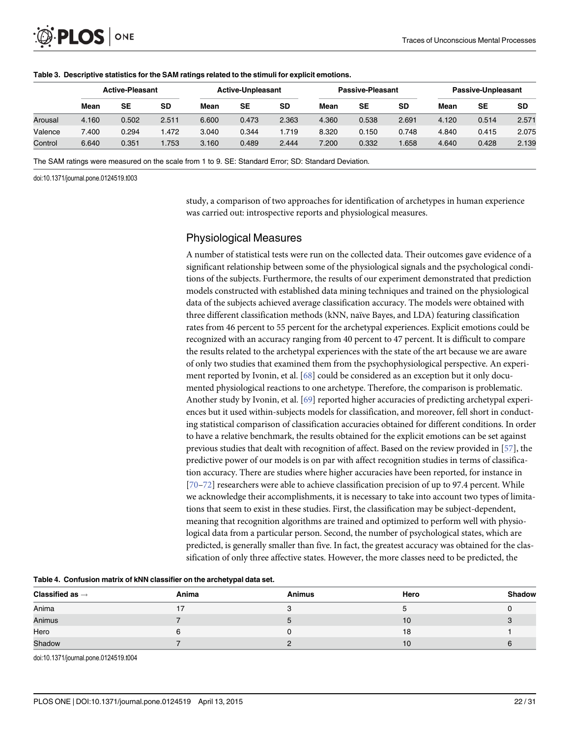|         |       | <b>Active-Pleasant</b> |           |       | <b>Active-Unpleasant</b> |       | <b>Passive-Pleasant</b> |       |       |       | Passive-Unpleasant |           |
|---------|-------|------------------------|-----------|-------|--------------------------|-------|-------------------------|-------|-------|-------|--------------------|-----------|
|         | Mean  | SE                     | <b>SD</b> | Mean  | SE                       | SD    | Mean                    | SE    | SD    | Mean  | SE                 | <b>SD</b> |
| Arousal | 4.160 | 0.502                  | 2.511     | 6.600 | 0.473                    | 2.363 | 4.360                   | 0.538 | 2.691 | 4.120 | 0.514              | 2.571     |
| Valence | 7.400 | 0.294                  | 1.472     | 3.040 | 0.344                    | 1.719 | 8.320                   | 0.150 | 0.748 | 4.840 | 0.415              | 2.075     |
| Control | 6.640 | 0.351                  | .753      | 3.160 | 0.489                    | 2.444 | 7.200                   | 0.332 | .658  | 4.640 | 0.428              | 2.139     |

#### <span id="page-21-0"></span>[Table 3.](#page-12-0) Descriptive statistics for the SAM ratings related to the stimuli for explicit emotions.

The SAM ratings were measured on the scale from 1 to 9. SE: Standard Error; SD: Standard Deviation.

doi:10.1371/journal.pone.0124519.t003

study, a comparison of two approaches for identification of archetypes in human experience was carried out: introspective reports and physiological measures.

## Physiological Measures

A number of statistical tests were run on the collected data. Their outcomes gave evidence of a significant relationship between some of the physiological signals and the psychological conditions of the subjects. Furthermore, the results of our experiment demonstrated that prediction models constructed with established data mining techniques and trained on the physiological data of the subjects achieved average classification accuracy. The models were obtained with three different classification methods (kNN, naïve Bayes, and LDA) featuring classification rates from 46 percent to 55 percent for the archetypal experiences. Explicit emotions could be recognized with an accuracy ranging from 40 percent to 47 percent. It is difficult to compare the results related to the archetypal experiences with the state of the art because we are aware of only two studies that examined them from the psychophysiological perspective. An experiment reported by Ivonin, et al. [[68\]](#page-29-0) could be considered as an exception but it only documented physiological reactions to one archetype. Therefore, the comparison is problematic. Another study by Ivonin, et al. [\[69\]](#page-29-0) reported higher accuracies of predicting archetypal experiences but it used within-subjects models for classification, and moreover, fell short in conducting statistical comparison of classification accuracies obtained for different conditions. In order to have a relative benchmark, the results obtained for the explicit emotions can be set against previous studies that dealt with recognition of affect. Based on the review provided in [[57](#page-29-0)], the predictive power of our models is on par with affect recognition studies in terms of classification accuracy. There are studies where higher accuracies have been reported, for instance in [\[70](#page-29-0)–[72\]](#page-29-0) researchers were able to achieve classification precision of up to 97.4 percent. While we acknowledge their accomplishments, it is necessary to take into account two types of limitations that seem to exist in these studies. First, the classification may be subject-dependent, meaning that recognition algorithms are trained and optimized to perform well with physiological data from a particular person. Second, the number of psychological states, which are predicted, is generally smaller than five. In fact, the greatest accuracy was obtained for the classification of only three affective states. However, the more classes need to be predicted, the

|                             | - -   |        |      |        |
|-----------------------------|-------|--------|------|--------|
| Classified as $\rightarrow$ | Anima | Animus | Hero | Shadow |
| Anima                       |       |        |      |        |
| Animus                      |       |        | 10   |        |
| Hero                        |       |        | 18   |        |
| Shadow                      |       |        | 10   |        |

[Table 4.](#page-14-0) Confusion matrix of kNN classifier on the archetypal data set.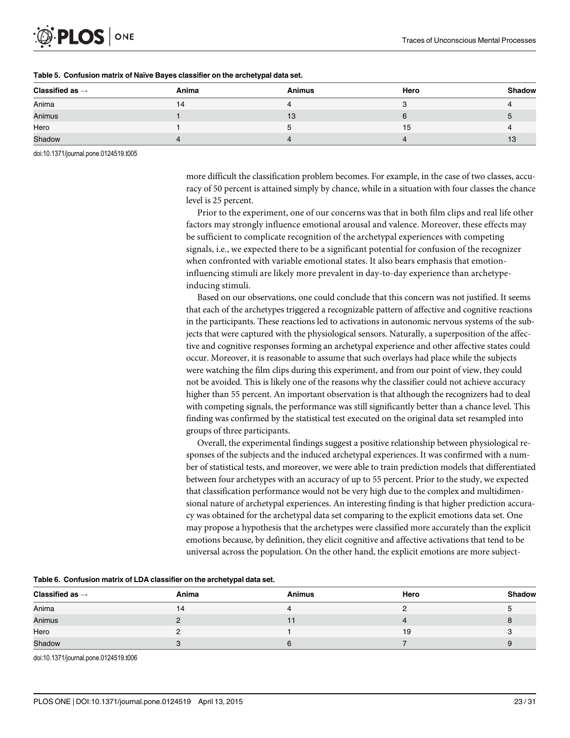<span id="page-22-0"></span>

| Classified as $\rightarrow$ | Anima | <b>Animus</b> | Hero | <b>Shadow</b> |
|-----------------------------|-------|---------------|------|---------------|
| Anima                       | 14    |               |      |               |
| Animus                      |       | 13            |      |               |
| Hero                        |       | n.            | 15   |               |
| Shadow                      |       |               |      |               |

#### [Table 5.](#page-14-0) Confusion matrix of Naïve Bayes classifier on the archetypal data set.

doi:10.1371/journal.pone.0124519.t005

more difficult the classification problem becomes. For example, in the case of two classes, accuracy of 50 percent is attained simply by chance, while in a situation with four classes the chance level is 25 percent.

Prior to the experiment, one of our concerns was that in both film clips and real life other factors may strongly influence emotional arousal and valence. Moreover, these effects may be sufficient to complicate recognition of the archetypal experiences with competing signals, i.e., we expected there to be a significant potential for confusion of the recognizer when confronted with variable emotional states. It also bears emphasis that emotioninfluencing stimuli are likely more prevalent in day-to-day experience than archetypeinducing stimuli.

Based on our observations, one could conclude that this concern was not justified. It seems that each of the archetypes triggered a recognizable pattern of affective and cognitive reactions in the participants. These reactions led to activations in autonomic nervous systems of the subjects that were captured with the physiological sensors. Naturally, a superposition of the affective and cognitive responses forming an archetypal experience and other affective states could occur. Moreover, it is reasonable to assume that such overlays had place while the subjects were watching the film clips during this experiment, and from our point of view, they could not be avoided. This is likely one of the reasons why the classifier could not achieve accuracy higher than 55 percent. An important observation is that although the recognizers had to deal with competing signals, the performance was still significantly better than a chance level. This finding was confirmed by the statistical test executed on the original data set resampled into groups of three participants.

Overall, the experimental findings suggest a positive relationship between physiological responses of the subjects and the induced archetypal experiences. It was confirmed with a number of statistical tests, and moreover, we were able to train prediction models that differentiated between four archetypes with an accuracy of up to 55 percent. Prior to the study, we expected that classification performance would not be very high due to the complex and multidimensional nature of archetypal experiences. An interesting finding is that higher prediction accuracy was obtained for the archetypal data set comparing to the explicit emotions data set. One may propose a hypothesis that the archetypes were classified more accurately than the explicit emotions because, by definition, they elicit cognitive and affective activations that tend to be universal across the population. On the other hand, the explicit emotions are more subject-

| Classified as $\rightarrow$ | Anima | <b>Animus</b> | Hero | <b>Shadow</b> |
|-----------------------------|-------|---------------|------|---------------|
| Anima                       | 14    |               |      |               |
| Animus                      |       |               |      |               |
| Hero                        |       |               | 19   |               |
| Shadow                      |       |               |      |               |

[Table 6.](#page-14-0) Confusion matrix of LDA classifier on the archetypal data set.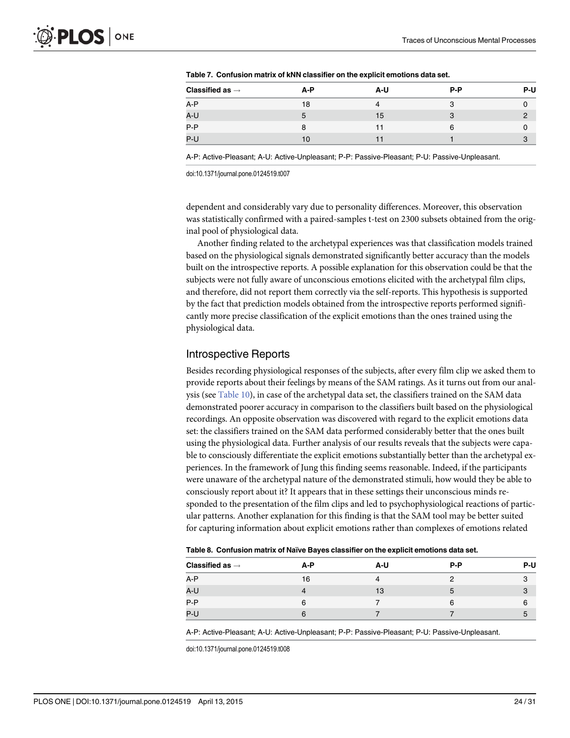| Classified as $\rightarrow$ | A-P | A-U | P-P | P-U |
|-----------------------------|-----|-----|-----|-----|
| A-P                         | 18  |     | З   |     |
| A-U                         |     | 15  | 3   |     |
| $P-P$                       |     |     | 6   |     |
| $P-U$                       | 10  |     |     | 3   |

<span id="page-23-0"></span>[Table 7.](#page-15-0) Confusion matrix of kNN classifier on the explicit emotions data set.

A-P: Active-Pleasant; A-U: Active-Unpleasant; P-P: Passive-Pleasant; P-U: Passive-Unpleasant.

doi:10.1371/journal.pone.0124519.t007

dependent and considerably vary due to personality differences. Moreover, this observation was statistically confirmed with a paired-samples t-test on 2300 subsets obtained from the original pool of physiological data.

Another finding related to the archetypal experiences was that classification models trained based on the physiological signals demonstrated significantly better accuracy than the models built on the introspective reports. A possible explanation for this observation could be that the subjects were not fully aware of unconscious emotions elicited with the archetypal film clips, and therefore, did not report them correctly via the self-reports. This hypothesis is supported by the fact that prediction models obtained from the introspective reports performed significantly more precise classification of the explicit emotions than the ones trained using the physiological data.

#### Introspective Reports

Besides recording physiological responses of the subjects, after every film clip we asked them to provide reports about their feelings by means of the SAM ratings. As it turns out from our analysis (see [Table 10](#page-24-0)), in case of the archetypal data set, the classifiers trained on the SAM data demonstrated poorer accuracy in comparison to the classifiers built based on the physiological recordings. An opposite observation was discovered with regard to the explicit emotions data set: the classifiers trained on the SAM data performed considerably better that the ones built using the physiological data. Further analysis of our results reveals that the subjects were capable to consciously differentiate the explicit emotions substantially better than the archetypal experiences. In the framework of Jung this finding seems reasonable. Indeed, if the participants were unaware of the archetypal nature of the demonstrated stimuli, how would they be able to consciously report about it? It appears that in these settings their unconscious minds responded to the presentation of the film clips and led to psychophysiological reactions of particular patterns. Another explanation for this finding is that the SAM tool may be better suited for capturing information about explicit emotions rather than complexes of emotions related

|  |  | Table 8. Confusion matrix of Naïve Bayes classifier on the explicit emotions data set. |  |
|--|--|----------------------------------------------------------------------------------------|--|
|  |  |                                                                                        |  |

| Classified as $\rightarrow$ | A-P | A-U | $P-P$ | P-U |
|-----------------------------|-----|-----|-------|-----|
| A-P                         | 16  | 4   |       |     |
| A-U                         |     | 13  | b     | 3   |
| $P - P$                     | 6   |     | 6     | 6   |
| P-U                         |     |     |       | 5   |
|                             |     |     |       |     |

A-P: Active-Pleasant; A-U: Active-Unpleasant; P-P: Passive-Pleasant; P-U: Passive-Unpleasant.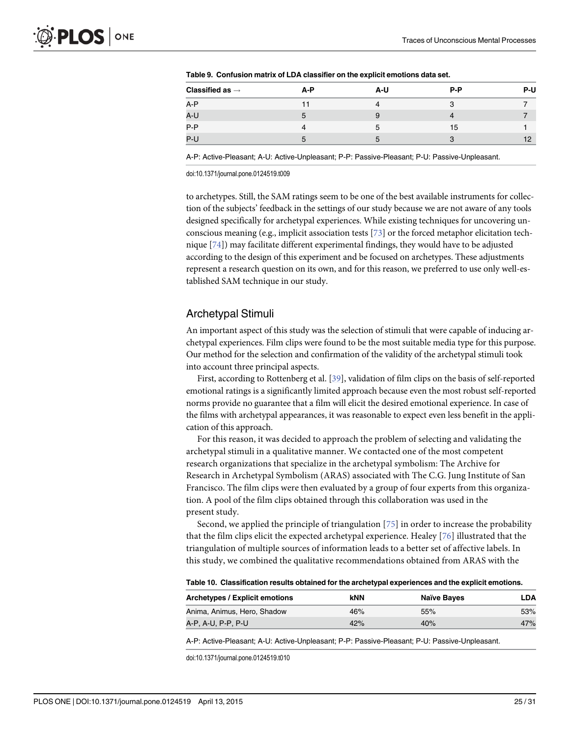| Classified as $\rightarrow$ | A-P          | A-U | $P-P$ | P-U |
|-----------------------------|--------------|-----|-------|-----|
| A-P                         |              |     | З     |     |
| A-U                         | $\mathbf{b}$ |     |       |     |
| $P-P$                       |              | 5   | 15    |     |
| P-U                         | .h           | 5   | ຈ     | 12  |

<span id="page-24-0"></span>[Table 9.](#page-15-0) Confusion matrix of LDA classifier on the explicit emotions data set.

A-P: Active-Pleasant; A-U: Active-Unpleasant; P-P: Passive-Pleasant; P-U: Passive-Unpleasant.

doi:10.1371/journal.pone.0124519.t009

to archetypes. Still, the SAM ratings seem to be one of the best available instruments for collection of the subjects' feedback in the settings of our study because we are not aware of any tools designed specifically for archetypal experiences. While existing techniques for uncovering unconscious meaning (e.g., implicit association tests  $[73]$  or the forced metaphor elicitation technique [\[74\]](#page-30-0)) may facilitate different experimental findings, they would have to be adjusted according to the design of this experiment and be focused on archetypes. These adjustments represent a research question on its own, and for this reason, we preferred to use only well-established SAM technique in our study.

## Archetypal Stimuli

An important aspect of this study was the selection of stimuli that were capable of inducing archetypal experiences. Film clips were found to be the most suitable media type for this purpose. Our method for the selection and confirmation of the validity of the archetypal stimuli took into account three principal aspects.

First, according to Rottenberg et al. [[39](#page-28-0)], validation of film clips on the basis of self-reported emotional ratings is a significantly limited approach because even the most robust self-reported norms provide no guarantee that a film will elicit the desired emotional experience. In case of the films with archetypal appearances, it was reasonable to expect even less benefit in the application of this approach.

For this reason, it was decided to approach the problem of selecting and validating the archetypal stimuli in a qualitative manner. We contacted one of the most competent research organizations that specialize in the archetypal symbolism: The Archive for Research in Archetypal Symbolism (ARAS) associated with The C.G. Jung Institute of San Francisco. The film clips were then evaluated by a group of four experts from this organization. A pool of the film clips obtained through this collaboration was used in the present study.

Second, we applied the principle of triangulation [[75\]](#page-30-0) in order to increase the probability that the film clips elicit the expected archetypal experience. Healey [\[76](#page-30-0)] illustrated that the triangulation of multiple sources of information leads to a better set of affective labels. In this study, we combined the qualitative recommendations obtained from ARAS with the

[Table 10.](#page-15-0) Classification results obtained for the archetypal experiences and the explicit emotions.

| Archetypes / Explicit emotions | kNN | <b>Naïve Bayes</b> | ∟DA |
|--------------------------------|-----|--------------------|-----|
| Anima, Animus, Hero, Shadow    | 46% | 55%                | 53% |
| A-P, A-U, P-P, P-U             | 42% | 40%                | 47% |

A-P: Active-Pleasant; A-U: Active-Unpleasant; P-P: Passive-Pleasant; P-U: Passive-Unpleasant.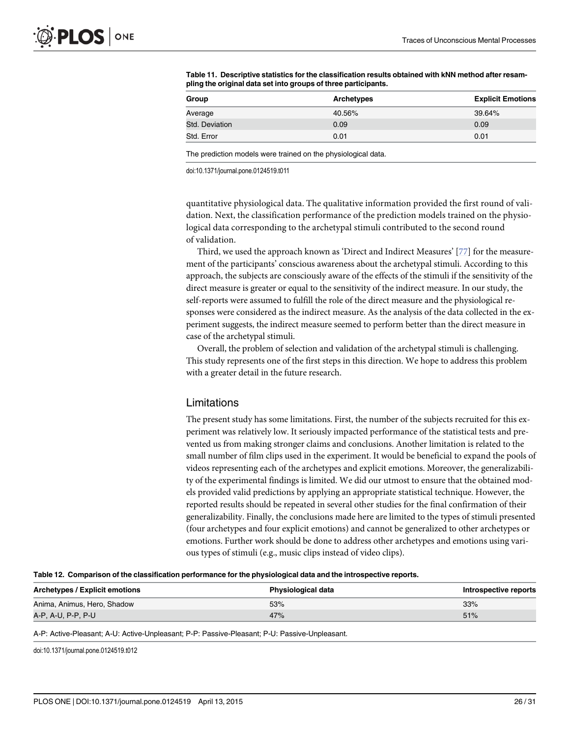| Group          | <b>Archetypes</b> | <b>Explicit Emotions</b> |
|----------------|-------------------|--------------------------|
| Average        | 40.56%            | 39.64%                   |
| Std. Deviation | 0.09              | 0.09                     |
| Std. Error     | 0.01              | 0.01                     |

<span id="page-25-0"></span>[Table 11.](#page-16-0) Descriptive statistics for the classification results obtained with kNN method after resampling the original data set into groups of three participants.

The prediction models were trained on the physiological data.

doi:10.1371/journal.pone.0124519.t011

quantitative physiological data. The qualitative information provided the first round of validation. Next, the classification performance of the prediction models trained on the physiological data corresponding to the archetypal stimuli contributed to the second round of validation.

Third, we used the approach known as 'Direct and Indirect Measures' [[77\]](#page-30-0) for the measurement of the participants' conscious awareness about the archetypal stimuli. According to this approach, the subjects are consciously aware of the effects of the stimuli if the sensitivity of the direct measure is greater or equal to the sensitivity of the indirect measure. In our study, the self-reports were assumed to fulfill the role of the direct measure and the physiological responses were considered as the indirect measure. As the analysis of the data collected in the experiment suggests, the indirect measure seemed to perform better than the direct measure in case of the archetypal stimuli.

Overall, the problem of selection and validation of the archetypal stimuli is challenging. This study represents one of the first steps in this direction. We hope to address this problem with a greater detail in the future research.

### Limitations

The present study has some limitations. First, the number of the subjects recruited for this experiment was relatively low. It seriously impacted performance of the statistical tests and prevented us from making stronger claims and conclusions. Another limitation is related to the small number of film clips used in the experiment. It would be beneficial to expand the pools of videos representing each of the archetypes and explicit emotions. Moreover, the generalizability of the experimental findings is limited. We did our utmost to ensure that the obtained models provided valid predictions by applying an appropriate statistical technique. However, the reported results should be repeated in several other studies for the final confirmation of their generalizability. Finally, the conclusions made here are limited to the types of stimuli presented (four archetypes and four explicit emotions) and cannot be generalized to other archetypes or emotions. Further work should be done to address other archetypes and emotions using various types of stimuli (e.g., music clips instead of video clips).

|  | Table 12. Comparison of the classification performance for the physiological data and the introspective reports. |  |  |  |
|--|------------------------------------------------------------------------------------------------------------------|--|--|--|
|  |                                                                                                                  |  |  |  |

| Archetypes / Explicit emotions | Physiological data | Introspective reports |
|--------------------------------|--------------------|-----------------------|
| Anima, Animus, Hero, Shadow    | 53%                | 33%                   |
| A-P, A-U, P-P, P-U             | 47%                | 51%                   |
|                                |                    |                       |

A-P: Active-Pleasant; A-U: Active-Unpleasant; P-P: Passive-Pleasant; P-U: Passive-Unpleasant.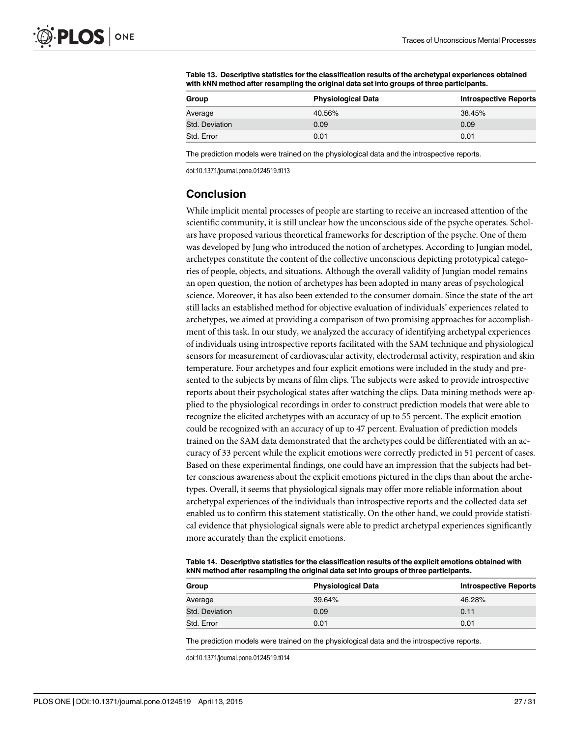| Group          | <b>Physiological Data</b> | <b>Introspective Reports</b> |
|----------------|---------------------------|------------------------------|
| Average        | 40.56%                    | 38.45%                       |
| Std. Deviation | 0.09                      | 0.09                         |
| Std. Error     | 0.01                      | 0.01                         |

<span id="page-26-0"></span>[Table 13.](#page-19-0) Descriptive statistics for the classification results of the archetypal experiences obtained with kNN method after resampling the original data set into groups of three participants.

The prediction models were trained on the physiological data and the introspective reports.

doi:10.1371/journal.pone.0124519.t013

## **Conclusion**

While implicit mental processes of people are starting to receive an increased attention of the scientific community, it is still unclear how the unconscious side of the psyche operates. Scholars have proposed various theoretical frameworks for description of the psyche. One of them was developed by Jung who introduced the notion of archetypes. According to Jungian model, archetypes constitute the content of the collective unconscious depicting prototypical categories of people, objects, and situations. Although the overall validity of Jungian model remains an open question, the notion of archetypes has been adopted in many areas of psychological science. Moreover, it has also been extended to the consumer domain. Since the state of the art still lacks an established method for objective evaluation of individuals' experiences related to archetypes, we aimed at providing a comparison of two promising approaches for accomplishment of this task. In our study, we analyzed the accuracy of identifying archetypal experiences of individuals using introspective reports facilitated with the SAM technique and physiological sensors for measurement of cardiovascular activity, electrodermal activity, respiration and skin temperature. Four archetypes and four explicit emotions were included in the study and presented to the subjects by means of film clips. The subjects were asked to provide introspective reports about their psychological states after watching the clips. Data mining methods were applied to the physiological recordings in order to construct prediction models that were able to recognize the elicited archetypes with an accuracy of up to 55 percent. The explicit emotion could be recognized with an accuracy of up to 47 percent. Evaluation of prediction models trained on the SAM data demonstrated that the archetypes could be differentiated with an accuracy of 33 percent while the explicit emotions were correctly predicted in 51 percent of cases. Based on these experimental findings, one could have an impression that the subjects had better conscious awareness about the explicit emotions pictured in the clips than about the archetypes. Overall, it seems that physiological signals may offer more reliable information about archetypal experiences of the individuals than introspective reports and the collected data set enabled us to confirm this statement statistically. On the other hand, we could provide statistical evidence that physiological signals were able to predict archetypal experiences significantly more accurately than the explicit emotions.

[Table 14.](#page-19-0) Descriptive statistics for the classification results of the explicit emotions obtained with kNN method after resampling the original data set into groups of three participants.

| Group          | <b>Physiological Data</b> | <b>Introspective Reports</b> |
|----------------|---------------------------|------------------------------|
| Average        | 39.64%                    | 46.28%                       |
| Std. Deviation | 0.09                      | 0.11                         |
| Std. Error     | 0.01                      | 0.01                         |

The prediction models were trained on the physiological data and the introspective reports.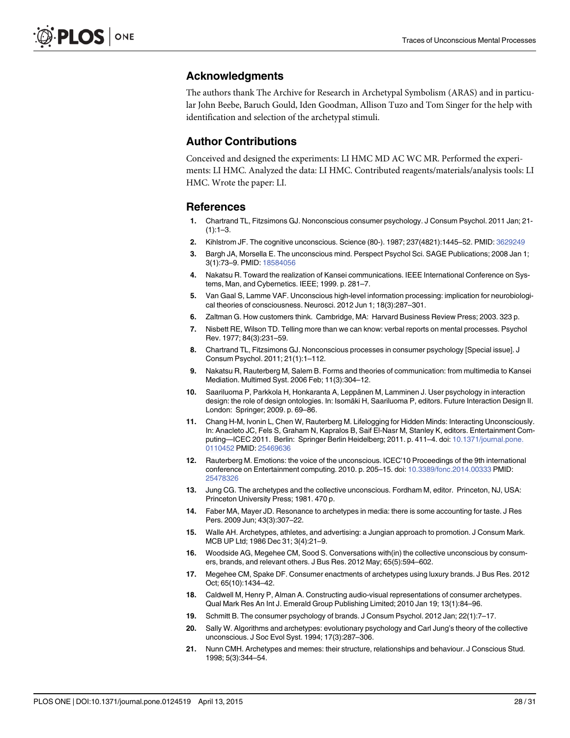## <span id="page-27-0"></span>Acknowledgments

The authors thank The Archive for Research in Archetypal Symbolism (ARAS) and in particular John Beebe, Baruch Gould, Iden Goodman, Allison Tuzo and Tom Singer for the help with identification and selection of the archetypal stimuli.

## Author Contributions

Conceived and designed the experiments: LI HMC MD AC WC MR. Performed the experiments: LI HMC. Analyzed the data: LI HMC. Contributed reagents/materials/analysis tools: LI HMC. Wrote the paper: LI.

## References

- [1.](#page-1-0) Chartrand TL, Fitzsimons GJ. Nonconscious consumer psychology. J Consum Psychol. 2011 Jan; 21-  $(1):1-3$
- [2.](#page-1-0) Kihlstrom JF. The cognitive unconscious. Science (80-). 1987; 237(4821):1445–52. PMID: [3629249](http://www.ncbi.nlm.nih.gov/pubmed/3629249)
- [3.](#page-1-0) Bargh JA, Morsella E. The unconscious mind. Perspect Psychol Sci. SAGE Publications; 2008 Jan 1; 3(1):73–9. PMID: [18584056](http://www.ncbi.nlm.nih.gov/pubmed/18584056)
- [4.](#page-1-0) Nakatsu R. Toward the realization of Kansei communications. IEEE International Conference on Systems, Man, and Cybernetics. IEEE; 1999. p. 281–7.
- [5.](#page-1-0) Van Gaal S, Lamme VAF. Unconscious high-level information processing: implication for neurobiological theories of consciousness. Neurosci. 2012 Jun 1; 18(3):287–301.
- [6.](#page-1-0) Zaltman G. How customers think. Cambridge, MA: Harvard Business Review Press; 2003. 323 p.
- [7.](#page-1-0) Nisbett RE, Wilson TD. Telling more than we can know: verbal reports on mental processes. Psychol Rev. 1977; 84(3):231–59.
- [8.](#page-1-0) Chartrand TL, Fitzsimons GJ. Nonconscious processes in consumer psychology [Special issue]. J Consum Psychol. 2011; 21(1):1–112.
- [9.](#page-1-0) Nakatsu R, Rauterberg M, Salem B. Forms and theories of communication: from multimedia to Kansei Mediation. Multimed Syst. 2006 Feb; 11(3):304–12.
- [10.](#page-1-0) Saariluoma P, Parkkola H, Honkaranta A, Leppänen M, Lamminen J. User psychology in interaction design: the role of design ontologies. In: Isomäki H, Saariluoma P, editors. Future Interaction Design II. London: Springer; 2009. p. 69–86.
- [11.](#page-1-0) Chang H-M, Ivonin L, Chen W, Rauterberg M. Lifelogging for Hidden Minds: Interacting Unconsciously. In: Anacleto JC, Fels S, Graham N, Kapralos B, Saif El-Nasr M, Stanley K, editors. Entertainment Com-puting—ICEC 2011. Berlin: Springer Berlin Heidelberg; 2011. p. 411-4. doi: [10.1371/journal.pone.](http://dx.doi.org/10.1371/journal.pone.0110452) [0110452](http://dx.doi.org/10.1371/journal.pone.0110452) PMID: [25469636](http://www.ncbi.nlm.nih.gov/pubmed/25469636)
- [12.](#page-1-0) Rauterberg M. Emotions: the voice of the unconscious. ICEC'10 Proceedings of the 9th international conference on Entertainment computing. 2010. p. 205–15. doi: [10.3389/fonc.2014.00333](http://dx.doi.org/10.3389/fonc.2014.00333) PMID: [25478326](http://www.ncbi.nlm.nih.gov/pubmed/25478326)
- [13.](#page-1-0) Jung CG. The archetypes and the collective unconscious. Fordham M, editor. Princeton, NJ, USA: Princeton University Press; 1981. 470 p.
- [14.](#page-1-0) Faber MA, Mayer JD. Resonance to archetypes in media: there is some accounting for taste. J Res Pers. 2009 Jun; 43(3):307–22.
- [15.](#page-1-0) Walle AH. Archetypes, athletes, and advertising: a Jungian approach to promotion. J Consum Mark. MCB UP Ltd; 1986 Dec 31; 3(4):21–9.
- [16.](#page-2-0) Woodside AG, Megehee CM, Sood S. Conversations with(in) the collective unconscious by consumers, brands, and relevant others. J Bus Res. 2012 May; 65(5):594–602.
- [17.](#page-2-0) Megehee CM, Spake DF. Consumer enactments of archetypes using luxury brands. J Bus Res. 2012 Oct; 65(10):1434–42.
- [18.](#page-1-0) Caldwell M, Henry P, Alman A. Constructing audio-visual representations of consumer archetypes. Qual Mark Res An Int J. Emerald Group Publishing Limited; 2010 Jan 19; 13(1):84–96.
- [19.](#page-1-0) Schmitt B. The consumer psychology of brands. J Consum Psychol. 2012 Jan; 22(1):7–17.
- [20.](#page-1-0) Sally W. Algorithms and archetypes: evolutionary psychology and Carl Jung's theory of the collective unconscious. J Soc Evol Syst. 1994; 17(3):287–306.
- [21.](#page-2-0) Nunn CMH. Archetypes and memes: their structure, relationships and behaviour. J Conscious Stud. 1998; 5(3):344–54.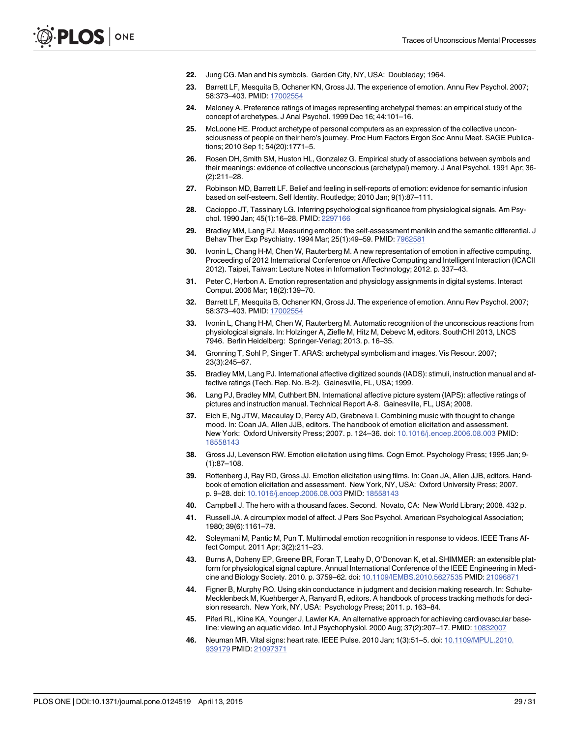- <span id="page-28-0"></span>[22.](#page-2-0) Jung CG. Man and his symbols. Garden City, NY, USA: Doubleday; 1964.
- [23.](#page-2-0) Barrett LF, Mesquita B, Ochsner KN, Gross JJ. The experience of emotion. Annu Rev Psychol. 2007; 58:373–403. PMID: [17002554](http://www.ncbi.nlm.nih.gov/pubmed/17002554)
- [24.](#page-2-0) Maloney A. Preference ratings of images representing archetypal themes: an empirical study of the concept of archetypes. J Anal Psychol. 1999 Dec 16; 44:101–16.
- 25. McLoone HE. Product archetype of personal computers as an expression of the collective unconsciousness of people on their hero's journey. Proc Hum Factors Ergon Soc Annu Meet. SAGE Publications; 2010 Sep 1; 54(20):1771–5.
- [26.](#page-2-0) Rosen DH, Smith SM, Huston HL, Gonzalez G. Empirical study of associations between symbols and their meanings: evidence of collective unconscious (archetypal) memory. J Anal Psychol. 1991 Apr; 36- (2):211–28.
- [27.](#page-2-0) Robinson MD, Barrett LF. Belief and feeling in self-reports of emotion: evidence for semantic infusion based on self-esteem. Self Identity. Routledge; 2010 Jan; 9(1):87–111.
- [28.](#page-2-0) Cacioppo JT, Tassinary LG. Inferring psychological significance from physiological signals. Am Psychol. 1990 Jan; 45(1):16–28. PMID: [2297166](http://www.ncbi.nlm.nih.gov/pubmed/2297166)
- [29.](#page-2-0) Bradley MM, Lang PJ. Measuring emotion: the self-assessment manikin and the semantic differential. J Behav Ther Exp Psychiatry. 1994 Mar; 25(1):49–59. PMID: [7962581](http://www.ncbi.nlm.nih.gov/pubmed/7962581)
- [30.](#page-2-0) Ivonin L, Chang H-M, Chen W, Rauterberg M. A new representation of emotion in affective computing. Proceeding of 2012 International Conference on Affective Computing and Intelligent Interaction (ICACII 2012). Taipei, Taiwan: Lecture Notes in Information Technology; 2012. p. 337–43.
- 31. Peter C, Herbon A. Emotion representation and physiology assignments in digital systems. Interact Comput. 2006 Mar; 18(2):139–70.
- [32.](#page-2-0) Barrett LF, Mesquita B, Ochsner KN, Gross JJ. The experience of emotion. Annu Rev Psychol. 2007; 58:373–403. PMID: [17002554](http://www.ncbi.nlm.nih.gov/pubmed/17002554)
- [33.](#page-2-0) Ivonin L, Chang H-M, Chen W, Rauterberg M. Automatic recognition of the unconscious reactions from physiological signals. In: Holzinger A, Ziefle M, Hitz M, Debevc M, editors. SouthCHI 2013, LNCS 7946. Berlin Heidelberg: Springer-Verlag; 2013. p. 16–35.
- [34.](#page-2-0) Gronning T, Sohl P, Singer T. ARAS: archetypal symbolism and images. Vis Resour. 2007; 23(3):245–67.
- [35.](#page-3-0) Bradley MM, Lang PJ. International affective digitized sounds (IADS): stimuli, instruction manual and affective ratings (Tech. Rep. No. B-2). Gainesville, FL, USA; 1999.
- [36.](#page-3-0) Lang PJ, Bradley MM, Cuthbert BN. International affective picture system (IAPS): affective ratings of pictures and instruction manual. Technical Report A-8. Gainesville, FL, USA; 2008.
- [37.](#page-3-0) Eich E, Ng JTW, Macaulay D, Percy AD, Grebneva I. Combining music with thought to change mood. In: Coan JA, Allen JJB, editors. The handbook of emotion elicitation and assessment. New York: Oxford University Press; 2007. p. 124–36. doi: [10.1016/j.encep.2006.08.003](http://dx.doi.org/10.1016/j.encep.2006.08.003) PMID: [18558143](http://www.ncbi.nlm.nih.gov/pubmed/18558143)
- [38.](#page-3-0) Gross JJ, Levenson RW. Emotion elicitation using films. Cogn Emot. Psychology Press; 1995 Jan; 9- (1):87–108.
- [39.](#page-4-0) Rottenberg J, Ray RD, Gross JJ. Emotion elicitation using films. In: Coan JA, Allen JJB, editors. Handbook of emotion elicitation and assessment. New York, NY, USA: Oxford University Press; 2007. p. 9–28. doi: [10.1016/j.encep.2006.08.003](http://dx.doi.org/10.1016/j.encep.2006.08.003) PMID: [18558143](http://www.ncbi.nlm.nih.gov/pubmed/18558143)
- [40.](#page-4-0) Campbell J. The hero with a thousand faces. Second. Novato, CA: New World Library; 2008. 432 p.
- [41.](#page-5-0) Russell JA. A circumplex model of affect. J Pers Soc Psychol. American Psychological Association; 1980; 39(6):1161–78.
- [42.](#page-5-0) Soleymani M, Pantic M, Pun T. Multimodal emotion recognition in response to videos. IEEE Trans Affect Comput. 2011 Apr; 3(2):211–23.
- [43.](#page-5-0) Burns A, Doheny EP, Greene BR, Foran T, Leahy D, O'Donovan K, et al. SHIMMER: an extensible platform for physiological signal capture. Annual International Conference of the IEEE Engineering in Medicine and Biology Society. 2010. p. 3759–62. doi: [10.1109/IEMBS.2010.5627535](http://dx.doi.org/10.1109/IEMBS.2010.5627535) PMID: [21096871](http://www.ncbi.nlm.nih.gov/pubmed/21096871)
- [44.](#page-6-0) Figner B, Murphy RO. Using skin conductance in judgment and decision making research. In: Schulte-Mecklenbeck M, Kuehberger A, Ranyard R, editors. A handbook of process tracking methods for decision research. New York, NY, USA: Psychology Press; 2011. p. 163–84.
- [45.](#page-6-0) Piferi RL, Kline KA, Younger J, Lawler KA. An alternative approach for achieving cardiovascular baseline: viewing an aquatic video. Int J Psychophysiol. 2000 Aug; 37(2):207–17. PMID: [10832007](http://www.ncbi.nlm.nih.gov/pubmed/10832007)
- [46.](#page-8-0) Neuman MR. Vital signs: heart rate. IEEE Pulse. 2010 Jan; 1(3):51–5. doi: [10.1109/MPUL.2010.](http://dx.doi.org/10.1109/MPUL.2010.939179) [939179](http://dx.doi.org/10.1109/MPUL.2010.939179) PMID: [21097371](http://www.ncbi.nlm.nih.gov/pubmed/21097371)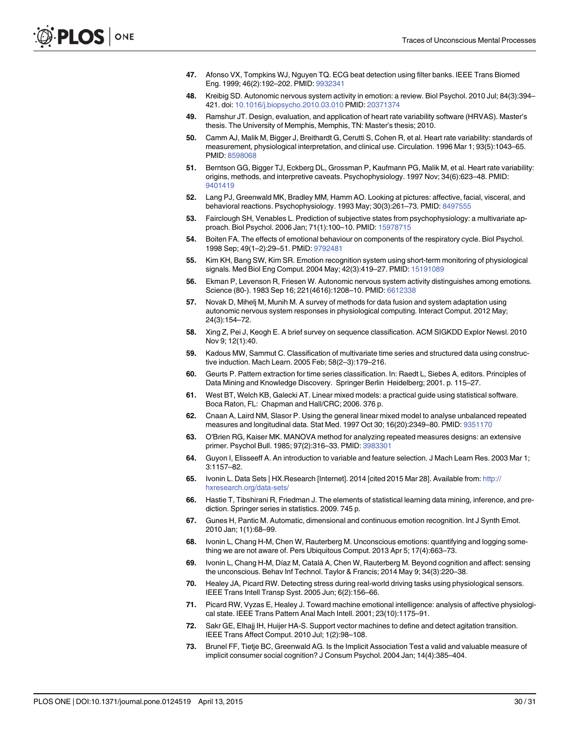- <span id="page-29-0"></span>[47.](#page-8-0) Afonso VX, Tompkins WJ, Nguyen TQ. ECG beat detection using filter banks. IEEE Trans Biomed Eng. 1999; 46(2):192–202. PMID: [9932341](http://www.ncbi.nlm.nih.gov/pubmed/9932341)
- [48.](#page-8-0) Kreibig SD. Autonomic nervous system activity in emotion: a review. Biol Psychol. 2010 Jul; 84(3):394– 421. doi: [10.1016/j.biopsycho.2010.03.010](http://dx.doi.org/10.1016/j.biopsycho.2010.03.010) PMID: [20371374](http://www.ncbi.nlm.nih.gov/pubmed/20371374)
- [49.](#page-8-0) Ramshur JT. Design, evaluation, and application of heart rate variability software (HRVAS). Master's thesis. The University of Memphis, Memphis, TN: Master's thesis; 2010.
- [50.](#page-8-0) Camm AJ, Malik M, Bigger J, Breithardt G, Cerutti S, Cohen R, et al. Heart rate variability: standards of measurement, physiological interpretation, and clinical use. Circulation. 1996 Mar 1; 93(5):1043–65. PMID: [8598068](http://www.ncbi.nlm.nih.gov/pubmed/8598068)
- [51.](#page-8-0) Berntson GG, Bigger TJ, Eckberg DL, Grossman P, Kaufmann PG, Malik M, et al. Heart rate variability: origins, methods, and interpretive caveats. Psychophysiology. 1997 Nov; 34(6):623–48. PMID: [9401419](http://www.ncbi.nlm.nih.gov/pubmed/9401419)
- [52.](#page-8-0) Lang PJ, Greenwald MK, Bradley MM, Hamm AO. Looking at pictures: affective, facial, visceral, and behavioral reactions. Psychophysiology. 1993 May; 30(3):261–73. PMID: [8497555](http://www.ncbi.nlm.nih.gov/pubmed/8497555)
- [53.](#page-8-0) Fairclough SH, Venables L. Prediction of subjective states from psychophysiology: a multivariate approach. Biol Psychol. 2006 Jan; 71(1):100–10. PMID: [15978715](http://www.ncbi.nlm.nih.gov/pubmed/15978715)
- [54.](#page-8-0) Boiten FA. The effects of emotional behaviour on components of the respiratory cycle. Biol Psychol. 1998 Sep; 49(1–2):29–51. PMID: [9792481](http://www.ncbi.nlm.nih.gov/pubmed/9792481)
- [55.](#page-8-0) Kim KH, Bang SW, Kim SR. Emotion recognition system using short-term monitoring of physiological signals. Med Biol Eng Comput. 2004 May; 42(3):419–27. PMID: [15191089](http://www.ncbi.nlm.nih.gov/pubmed/15191089)
- [56.](#page-8-0) Ekman P, Levenson R, Friesen W. Autonomic nervous system activity distinguishes among emotions. Science (80-). 1983 Sep 16; 221(4616):1208–10. PMID: [6612338](http://www.ncbi.nlm.nih.gov/pubmed/6612338)
- [57.](#page-9-0) Novak D, Mihelj M, Munih M. A survey of methods for data fusion and system adaptation using autonomic nervous system responses in physiological computing. Interact Comput. 2012 May; 24(3):154–72.
- [58.](#page-9-0) Xing Z, Pei J, Keogh E. A brief survey on sequence classification. ACM SIGKDD Explor Newsl. 2010 Nov 9; 12(1):40.
- [59.](#page-9-0) Kadous MW, Sammut C. Classification of multivariate time series and structured data using constructive induction. Mach Learn. 2005 Feb; 58(2–3):179–216.
- [60.](#page-9-0) Geurts P. Pattern extraction for time series classification. In: Raedt L, Siebes A, editors. Principles of Data Mining and Knowledge Discovery. Springer Berlin Heidelberg; 2001. p. 115–27.
- [61.](#page-10-0) West BT, Welch KB, Galecki AT. Linear mixed models: a practical guide using statistical software. Boca Raton, FL: Chapman and Hall/CRC; 2006. 376 p.
- [62.](#page-10-0) Cnaan A, Laird NM, Slasor P. Using the general linear mixed model to analyse unbalanced repeated measures and longitudinal data. Stat Med. 1997 Oct 30; 16(20):2349–80. PMID: [9351170](http://www.ncbi.nlm.nih.gov/pubmed/9351170)
- [63.](#page-10-0) O'Brien RG, Kaiser MK. MANOVA method for analyzing repeated measures designs: an extensive primer. Psychol Bull. 1985; 97(2):316–33. PMID: [3983301](http://www.ncbi.nlm.nih.gov/pubmed/3983301)
- [64.](#page-10-0) Guyon I, Elisseeff A. An introduction to variable and feature selection. J Mach Learn Res. 2003 Mar 1; 3:1157–82.
- [65.](#page-11-0) Ivonin L. Data Sets | HX.Research [Internet]. 2014 [cited 2015 Mar 28]. Available from: [http://](http://hxresearch.org/data-sets/) [hxresearch.org/data-sets/](http://hxresearch.org/data-sets/)
- [66.](#page-16-0) Hastie T, Tibshirani R, Friedman J. The elements of statistical learning data mining, inference, and prediction. Springer series in statistics. 2009. 745 p.
- [67.](#page-18-0) Gunes H, Pantic M. Automatic, dimensional and continuous emotion recognition. Int J Synth Emot. 2010 Jan; 1(1):68–99.
- [68.](#page-21-0) Ivonin L, Chang H-M, Chen W, Rauterberg M. Unconscious emotions: quantifying and logging something we are not aware of. Pers Ubiquitous Comput. 2013 Apr 5; 17(4):663–73.
- [69.](#page-21-0) Ivonin L, Chang H-M, Díaz M, Català A, Chen W, Rauterberg M. Beyond cognition and affect: sensing the unconscious. Behav Inf Technol. Taylor & Francis; 2014 May 9; 34(3):220–38.
- [70.](#page-21-0) Healey JA, Picard RW. Detecting stress during real-world driving tasks using physiological sensors. IEEE Trans Intell Transp Syst. 2005 Jun; 6(2):156–66.
- 71. Picard RW, Vyzas E, Healey J. Toward machine emotional intelligence: analysis of affective physiological state. IEEE Trans Pattern Anal Mach Intell. 2001; 23(10):1175–91.
- [72.](#page-21-0) Sakr GE, Elhajj IH, Huijer HA-S. Support vector machines to define and detect agitation transition. IEEE Trans Affect Comput. 2010 Jul; 1(2):98–108.
- [73.](#page-24-0) Brunel FF, Tietje BC, Greenwald AG. Is the Implicit Association Test a valid and valuable measure of implicit consumer social cognition? J Consum Psychol. 2004 Jan; 14(4):385–404.